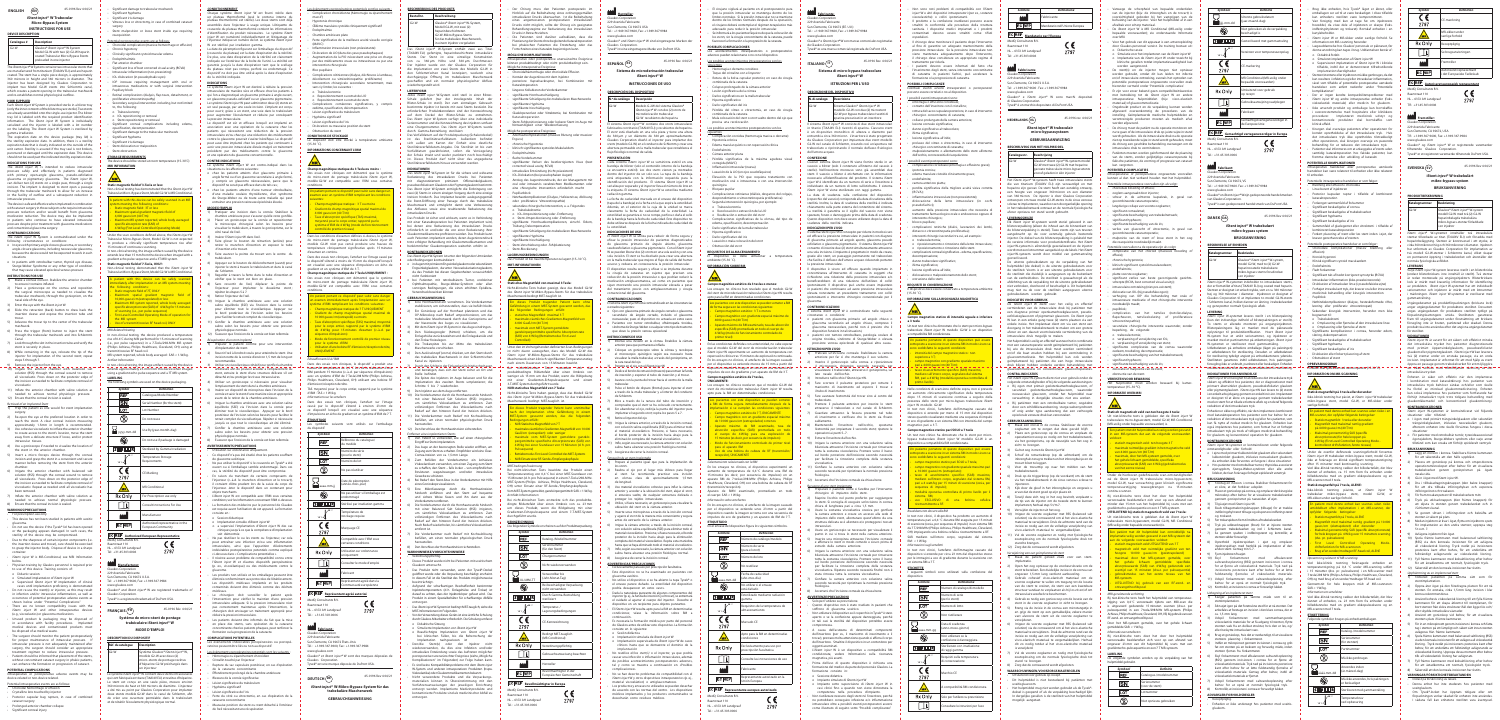**ENGLISH EN** 45-0196 Rev 4 04/21

Significant damage to trabecular meshwor

Potential postoperative events are as follow

# **iStent** *inject***® W Trabecular**

## **Micro-Bypass System INSTRUCTIONS FOR USE**

## **DEVICE DESCRIPTION**

| Catalogue # | <b>Description</b>                                                                                                                             |
|-------------|------------------------------------------------------------------------------------------------------------------------------------------------|
| G2-W        | Glaukos® iStent inject® W System<br>Model G2-W with two (2) G2-W heparin<br>coated Trabecular Micro-Bypass Stents<br>preloaded in one injector |

The iStent *inject®W* System contains two intraocular stents th itanium (Ti6Al4V ELI) and are hep  $\cos$  coated. The stent has a single piece design, is approximate 360 microns in height and 360 microns in diameter. Th ector has been designed by Glauko implant two Model G2-W stents into Schlemm's canal, hich creates a patent opening in the trabecular meshw nd re-establishes normal physiological outflow.

ach iStent *inject* W System is provided sterile in a blister tra (only the inner contents of the blister tray are sterile). Two stent already assembled onto the single-use injector. The blist tray lid is labeled with the required product identification information. The iStent *inject* W System is individually serialized and the injector is labeled with a lot number on the labeling. The iStent *inject* W System is sterilized by gamma irradiation.

## **HOW SUPPLIED**

The expiration date on the device package (tray lid) is he sterility expiration date. In addition, there is a steril expiration date that is clearly indicated on the outside of the it carton. Sterility is assured if the tray seal is not broke punctured or damaged until the expiration date. This device should not be used past the indicated sterility expiration date. **INDICATIONS FOR USE**

**The interpolata in intended** to reduce intraocular pressure safely and effectively in patients diagnosed with primary open-angle glaucoma, pseudo-exfoliati aucoma or pigmentary glaucoma. The iStent *inject* W, an deliver two (2) stents on a single pass, through a single ncision. The implant is designed to stent open a passage rough the trabecular meshwork to allow for an increa in the facility of outflow and a subsequent reduction in intraocular pressure.

The device is safe and effective when implanted in combinati with cataract surgery in those subjects who require intraocular pressure reduction and/or would benefit from glaucoma medication reduction. The device may also be implanted in patients who continue to have elevated intraocul pressure despite prior treatment with glaucoma medications and conventional glaucoma surgery.

ngle-closure glaucoma, including neovascular gla because the device would not be expected to work in such situations

### **INSTRUCTIONS FOR USE** Make a corneal incision. Stabilize the anterior chamber

- to ensure it remains inflated. Place a gonioscope on the cornea and reposition the surgical microscope as needed to visualize the
- trabecular meshwork, through the gonioprism, on the nasal side of the eye. 3) Enter the eye with the iStent *inject* W. Slide the retraction (back) button to draw back t
- insertion sleeve and expose the insertion tube and trocar.
- 5) Advance the trocar tip to the center of the trabecular meshwork. Press the trigger (front) button to inject the stent
- through the trabecular meshwork and into Schlemm Canal. Look through the slot in the insertion tube and verify the
- stent is securely in place. 8) While remaining in the eye, relocate the tip of the injector for implantation of the second stent; repea
- steps 5 through 7. Remove the injector from the eye. Trrigate the anterior chamber with balanced sal solution (BSS) through the corneal wound to remove all viscoelastic. Press down on the posterior edge of

he incision as needed to facilitate viscoelastic. Inflate the anterior chamber with saline solution a needed to achieve normal physiologic pressure. 12) Ensure that the corneal incision is sealed.

### **CONTRAINDICATIONS**

iStent *inject* W System is contraindicated under the following circumstances or conditions:  $\overline{\phantom{a}}$  In eyes with primary angle closure glaucoma, or secondary

o In patients with retrobulbar tumor, thyroid eye disease, urge-Weber Syndrome or any other type of conditi that may cause elevated episcleral venous pressure

- This device has not been studied in patients with uveit glaucoma. • Do not use the device if the Tyvek® lid has been opened or the packaging appears damaged. In such cases, the sterility of the device may be compromised. • Due to the sharpness of certain injector components (i.e.
- the insertion sleeve and trocar), care should be exercised to grasp the injector body. Dispose of device in a sharps container.
- iStent *inject* W is MR-Conditional; see MRI Information below. Physician training by Glaukos personnel is required prio
- to use of this device. Training consists of: o Didactic session
- o Simulated implantation of iStent *inject* W
- o Supervised iStent *inject* W implantation of clinical cases until implantation proficiency is demonstrated • Do not re-use the stent(s) or injector, as this may result in infection and/or intraocular inflammation, as well as urrence of potential postoperative adverse events as
- shown below under "Potential Complications." here are no known compatibility issues with the iStent *inject* W and other intraoperative devices (e.g., viscoelastics) or glaucoma medications.
- Unused product & packaging may be disposed of in accordance with facility procedures. Implanted medical devices and contaminated products must be disposed of as medical waste. The surgeon should monitor the patient postoperativel
- for proper maintenance of intraocular pressure. intraocular pressure is not adequately maintained afte urgery, the surgeon should consider an appropriat eatment regimen to reduce intraocular pressure. Patients should be informed that placement of the stents without concomitant cataract surgery in phakic patients,

### can enhance the formation or progression of catarac **POTENTIAL COMPLICATIONS** ative adverse events may be

• Significant hyphema ignificant iris damage

IOP increase requiring management with oral intravenous medications or with surgical intervention

Retinal complications (dialysis, flap tears, detachment, or

to, the following: o Trabeculectomy IOL repositioning or re **Stent repositioning or removally** 

*Retrieval of an Implanted Stent* 1) Prep the patient as one would for stent implantation

opacification, decompensation gnificant damage to the trabecula

system meeting the following conditions: c magnetic field: 3T or less num spatial gradient magnetic field  $\,$ gauss/cm (40 T/m)

• Maximum MR system reported, whole body averaged c absorption rate (SAR) of 4-W/kg (First Level Controlled Operating Mode) Under the scan conditions defined above, the iStent *inject* W Trabecular Micro-Bypass Stent, Model G2-W is not expected produce a clinically significant temperature rise afte

- surgery.
- 2) Re-open the eye at the preferred location in order to each the stent. A clear corneal incision measuri approximately 1.5mm in length is recommended Use cohesive viscoelastic to inflate the anterior chambe to create access to the stent's location, move the stent away from a delicate structure if loose, and/or protect intraocular tissues.
- Use a gonioscope if needed to visualize the location of the stent in the anterior chamber. Insert a micro forceps device through the cornea incision and grasp the stent in a convenient and secure
- nner before removing the stent from the anterior chamber. 6) Irrigate the anterior chamber with balanced salt solution (BSS) through the corneal wound to remove
- all viscoelastic. Press down on the posterior edge the incision as needed to facilitate complete rer viscoelastic. Repeat as needed until all viscoelastic has been removed.

In non-clinical testing, the image artifact caused by the device extends less than 15 mm from the device when imaged with a equence and a 3T MRI system.

7) Inflate the anterior chamber with saline solution as needed to achieve normal physiologic press 8) Ensure that the corneal incision is sealed.

## **WARNINGS/PRECAUTIONS**

### or prescription use onl

Lot Number Do not reuse

 $\leq$  vyy-mm-dd Use By (year-month-day)

Authorized representative in th European Community

 $\epsilon$ 

n non-clinical testing, the device produced a temperature

per pulse sequence) in a 7-Tesla/298-MHz MR system Philips Achieva, Philips Healthcare, Cleveland, OH) using at

**Manufacturer:** Glaukos Corporation 229 Avenida Fabricante an Clemente, CA 92672 U.S.A Tel: +1.949.367.9600, Fax: +1.949.367.9984

**FRANÇAIS FR** 45-0196 Rév. 4 04/21 **Système de micro-stent de pontage trabéculaire iStent** *inject***® W MODE D'EMPLOI**

> G2-W Système Glaukos® iStent *inject*® W, dèle G2-W avec deux (2) icro-stents de pontage revêtu éparine G2-W préchargés dai

De plus, une date d'expiration de la stérilité est clairement liquée sur l'extérieur de la boîte de l'unité. La stérilité e garantie jusqu'à la date d'expiration tant que le scellage lu plateau n'est pas rompu, perforé ou endommagé. lispositif ne doit pas être utilisé après la date d'expiration de la stérilité indiquée. **INDICATIONS**

le système iStent *inject* W est destiné à réduire la pression interaliente de manière sûre et efficace chez les patients à qui l'on a diagnostiqué un glaucome primaire à angle ouver un glaucome pseudo-exfoliatif ou un glaucome pigmentaire. Le système iStent *inject* W peut administrer deux (2) stents en un seul passage, par une seule incision. L'implant est conçu pour ouvrir, grâce à un stent, une voie dans le trabécului pour augmenter l'écoulement et réduire par conséquent la pression intraoculaire.

### **CONTRE-INDICATIONS** système iStent *inject* W est contre-indiqué dans les

- device-related or non-device related. Potential intraoperative events are as follows: • Choroidal hemorrhage or effusion
- Crystalline lens touched by injector • Posterior capsular bag rupture, in case of combined
- ataract surgery • Prolonged anterior chamber collapse
- Significant corneal injury
- 

surgery

reacquisition

• Chronic hypotony

**Endophthalmitis** Flat anterior chamber

Pupillary block

• Clinically significant cystoid macular edema

Vitreous loss or vitrectomy, in case of combined cataract

tent malposition or loose stent inside eye requiring

noroidal complication (massive hemorrhage or effusion

• Significant loss of best corrected visual acuity (BCVA) • Intraocular inflammation (non-preexisting) • IOL dislocation (in pseudophakic eyes)

proliferative vitreoretinopathy)

• Secondary surgical intervention including, but not limited

Significant corneal complications including edem

m temperature (15-30<sup>°</sup>C)

• Significant hyphema • Significant iris damage Stent dislocation or malposition Stent obstruction **STORAGE REQUIREMENTS**

**MRI INFORMATION**

**Static magnetic field of 3-Tesla or less:**

Non-clinical testing has demonstrated that the iStent *inject* W rabecular Micro-Bypass Stent, Model G2-W is MR Conditior A patient with this device can be safely scanned in an MR

15 minutes of continuous scanning.

**Static magnetic field of 7-Tesla, ONLY:**

**pllowing conditions:** agnetic field of 7T, ONLY ximum spatial gradient magnetic field 10,000-gauss/cm (extrapolated) or less • Maximum MR system reported, whole body averaged specific absorption rate (SAR) of 4-W/kg for 15 minutes

Non-clinical testing demonstrated that the iStent *inject* W abecular Micro-Bypass Stent, Model G2-W is MR Con patient with this device can be safely scar immediately after implantation in an MR system meeting

ive RF head coil, ONLY

e and a 7T MR syste<mark>n</mark>

of scanning (i.e., per pulse sequence) • First Level Controlled Operating Mode of operation for

the MR system

re of 0.4°C during MRI perform

- ituations ou les affections suiva o chez les patients atteints d'un glaucome primaire à angle fermé ou d'un glaucome secondaire à angle fern
- y compris un glaucome néovasculaire, parce que le spositif ne serait pas efficace dans de tels cas ; chez les patients atteints d'une tumeur rétrobulbair
- d'une maladie oculaire thyroïdienne, d'un syndrome de Sturge-Weber ou de toute autre maladie qui peu entraîner une pression veineuse épisclérale élevée. **MODE D'EMPLOI**
- Pratiquer une incision dans la cornée. Stabiliser la chambre antérieure pour s'assurer qu'elle reste gonflée. Placer un gonioscope sur la cornée et repositionne microscope chirurgical selon les besoins pour visualiser le trabéculum, à travers le gonioprisme, sur le côté nasal de l'œil.
- 3) Insérer l'iStent *inject* W dans l'œil. Faire glisser le bouton de rétraction (arrière) pou retirer le manchon d'insertion et exposer le tube d'insertion et le trocart.
- 5) Faire avancer la pointe du trocart vers le centre du trabéculum. Appuyer sur le bouton de déclenchement (avant)
- injecter le stent à travers le trabéculum et dans le canal de Schlemm. Regarder à travers la fente dans le tube d'insertion et
- vérifier que le stent est bien en place. 8) Sans ressortir de l'œil, déplacer la pointe de l'injecteur pour implanter le deuxième sten répéter les étapes 5 à 7.
- Retirer l'injecteur de l'œil. Irriguer la chambre antérieure avec une solution saline équilibrée (SSE) via l'incision dans la cornée pour éliminer tout le viscoélastique. Appuyer su
- le bord postérieur de l'incision selon les besoins pour faciliter le retrait complet du viscoélastique. 11) Gonfler la chambre antérieure avec une solution saline selon les besoins pour obtenir une pression
- physiologique normale. S'assurer que l'incision de la cornée est bien refermée.
- *Récupération d'un stent implanté* Préparer le patient comme pour une intervention d'implantation de stent.
- Rouvrir l'œil à l'endroit voulu pour atteindre le stent. U incision nette de la cornée d'environ 1,5 mm de long est recommandée.
- Utiliser un viscoélastique cohésif pour gonfler ntérieure afin de pouvoir accéder à l'emplacement stent, extraire le stent d'une structure délicate s'il est détaché et/ou protéger les tissus intraoculaire
- Utiliser un gonioscope si nécessaire pour visualise l'emplacement du stent dans la chambre antérieure.
- 5) Insérer un dispositif de micropince dans l'incision de la sûre et approprié avant de le retirer de la chambre antérieure.
- Irriguer la chambre antérieure avec une solution saline équilibrée (SSE) via l'incision dans la cornée pou éliminer tout le viscoélastique. Appuyer sur le bor postérieur de l'incision selon les besoins pour faciliter le .<br>retrait complet du viscoélastique. Répéter si nécessai
- jusqu'à ce que tout le viscoélastique ait été éliminé. Gonfler la chambre antérieure avec une solution saline selon les besoins pour obtenir une pression physiologique normale.
- 8) S'assurer que l'incision de la cornée est bien refermée. **AVERTISSEMENTS/PRÉCAUTIONS**
- Utilisation sur ordonnance uniquement. e dispositif n'a pas été étudié chez les patients souffran
- de glaucome uvéitique. • Ne pas utiliser le dispositif si le couvercle en Tyvek® a été ouvert ou si l'emballage semble endommagé. Dans ces
- cas, la stérilité du dispositif peut être compromise. • En raison du tranchant de certains composants de niecteur (c.-à-d. le manchon d'insertion et le trocart convient d'être prudent lors de la saisie du corps de l'injecteur. Jeter le dispositif dans un contenant pour
- obiets tranchant L'iStent *inject* W est compatible avec l'IRM sous certaine conditions; voir les Informations concernant l'IRM ci-dessous.
- La formation des médecins par le personnel de Glaukos st requise avant l'utilisation de cet appareil. La formation consiste en : Session didactique
- o Implantation simulée d'iStent *inject* W
- o a supervisé l'implantation d'iStent *inject* W des cas liniques jusqu'à ce que la compétence d'implantation soit démontrée
- Ne pas réutiliser le ou les stents ou l'injecteur, car cela peut entraîner une infection et/ou une inflammation ntraoculaire, ainsi que l'apparition d'événements indésirables postopératoires potentiels comme expliqué ci-dessous dans « Complications potentielles ».
- Il n'existe aucun problème de compatibilité connu entre l'iStent *inject* W et d'autres dispositifs peropératoires (p. ex., viscoélastique) ou des médicaments contre le glaucome.
- Les produits non utilisés et les emballages peuvent être éliminés conformément aux protocoles de l'établissement. Les dispositifs médicaux implantés et les produits contaminés doivent être éliminés comme des déchets médicaux.
- Le chirurgien doit surveiller le patient après vention pour vérifier le maintien d'une pression intraoculaire adéquate. Si la pression intraoculaire n'est pas correctement maintenue après l'intervention, le chirurgien doit envisager un traitement approprié pour
- réduire la pression intraoculaire. Les patients doivent être informés du fait que la mise en place des stents, sans opération de la cataracte concomitante chez les patients phaques, peut renforcer la formation ou la progression de la cataracte.
- **COMPLICATIONS POTENTIELLES** es événements indésirables peropératoires ou postopé-
- toires peuvent être liés ou non au dispositif. Les événements peropératoires potentiels sont les suivants
- Hémorragie ou épanchement choroïdien • Cristallin touché par l'injecteur Rupture du sac capsulaire postérieur, en cas d'opération
- de la cataracte concomitante • Effondrement prolongé de la chambre antérieure
- Blessure de la cornée significative ésion significative du trabéculum
- Hyphéma significatif
- Lésion significative de l'iris • Perte du vitré ou vitrectomie, en cas d'opération de la
- cataracte concomitante • Mauvaise position du stent ou stent détaché à l'intérieur de l'œil nécessitant une récupération

*MRI-Related Heating*

s événements postopératoires potentiels sont les suivants • Complication choroïdienne (hémorragie ou épanchement massif)

transmit/receive RF head coil.

MR system reported, whole body averaged: SAR < 1-W/kg.

*Artifact Information*

extends approximately 23-mm from this device when imaged

a symbols are used on the device packaging

**LABELING**

**Champ magnétique statique de 3 Tesla ou moins :** Des essais non cliniques ont démontré que le système de micro-stent de pontage trabéculaire iStent *inject* W, nodèle G2-W est compatible avec l'IRM sous certaine

Repositionnement ou retrait de stent Complications cornéennes significatives, y compr

edème, opacification, décompe Lésion significative du trabéculum • Hyphéma significatif Lésion significative de l'iris Dislocation ou mauvaise position du ste

*Symbol Definition* Catalogue/Model Number Serial Number (for the stent)

Do not use if package is damaged erilized by Gamma Irradiatio

Un patient portant ce dispositif peut subir sans danger un exac un système d'IRM remplissant les con

> np magnétique statique : 3 T ou moins lient de champ magnétique spatial maxim

'absorption spécifique (TAS) maximal moyenné pour le corps entier, rapporté par le e d'IRM de 4 W/ka (mode de f

s conditions d'examen définies ci-dessus, le systè de micro-stent de pontage trabéculaire iStent *inject* W, nodèle G2-W n'est pas censé produire une hausse d empérature cliniquement significative après 15 minute

Dans des essais non cliniques, l'artefact sur l'image causé pa e dispositif s'étend à moins de 15 mm du dispositif lorsqu est visualisé avec une séquence d'impulsions en écho de

**30** ˚C

**15** ˚C

 $(8)$ 

 $\circledast$ 

**STERILE R** 

 $\epsilon$ 

Rx Only

 $\vert \bot$ **AAA** EC REP Temperature Storage Requirements

CE Marking

MR Conditional For Prescription use only Consult Instructions For Use

Manufacturer

laukos<sup>®</sup> and iStent *inject®* W are registered trademarks of

**Authorized European Representative** MedQ Consultants B.V.

Baanstraat 110 NL – 6372 AH Landgraaf Tel: +31.45.303.0006

www.glaukos.com

Glaukos Corporation.

Tyvek® is a registered trademark of DuPont USA.

'absorption spécifique (TAS) maximal, m corps entier, rapporté par le système de 4 W/kg pour 15 minutes d'examen (c.-à-d. par

**DESCRIPTION DU DISPOSITIF Réf. du catalogue Description**

 $on$ -clinical testing, the image artifact

Dans des essais non cliniques, le dispositif a produit un hausse de température de 0,4 °C lors de la réalisation d'une RM pendant 15 minutes (c.-à-d. par séquence d'impulsion ec un système d'IRM de 7 Tesla/298 MHz (Philips Achiev Philips Healthcare, Cleveland, OH) utilisant une bobine RF

d'IRM : TAS < 1 W/kg. *Informations sur les artefacts* 

un injecteur **Exystème iStent** *inject®* **W contient deux stents intra** qui sont fabriqués en titane (Ti6Al4V ELI) et revêtus d'héparine. .<br>Le stent est concu en une seule pièce, mesure environ 360 microns de haut et 360 microns de diamètre. L'injecteur a été mis au point par Glaukos Corporation pour implant eux stents modèle G2-W dans le canal de Schlemm, af le créer une ouverture perméable dans le trabéculum et de rétablir l'écoulement physiologique normal.

Date de péremption e-mois-jour Ne pas utiliser si l'emballage est

pérature de stockage requise

quage CE

ntant agréé dans la Communauté européenne

**Fabricant :** Glaukos Corporation 229 Avenida Fabricante San Clemente, CA 92672 États-Unis Tél. : +1.949.367.9600, Fax : +1.949.367.9984

**DEUTSCH DE** 45-0196 Rev 4 04/2 **iStent** *inject***® W-Mikro-Bypass-System für das trabekuläre Maschenwerk GEBRAUCHSANWEISUNG**

G2-W Glaukos® iStent *inject*® W-System, Modell G2-W, mit zwei (2) heparinbeschichteten G2-W-Mikro-Bypass-Stents für das trabekuläre Maschenwerl em Injektor vorgeladen

iStent *inject®* W-System enthält zwei aus ï6Al4V ELI) gefertigte, heparinbeschichtete intraokulä Stents. Der Stent ist eine einteilige Konstruktion n ca. 360 µm Höhe und 360 µm Durchmess er Injektor wurde von der Glaukos Corporation f lie Implantation von zwei Stents des Modells G2-W in den Schlemm'schen Kanal konzipiert, wodurch eine durchgängige Öffnung im trabekulären Maschenwer geschaffen und ein normaler physiologischer Abflu

- 
- **CONDITIONNEMENT** Chaque système iStent *inject* W est fourni stérile dans un plateau thermoformé (seul le contenu interne du plateau thermoformé est stérile). Les deux stents sont déjà emblés dans l'injecteur à usage unique. L'étiquette d ouvercle du plateau thermoformé contient les information d'identification du produit nécessaires. Le système iStent *inject* W est numéroté individuellement et l'étiquetage de ecteur indique un numéro de lot. Le système iStent *inject* W est stérilisé par irradiation gamma. La date de péremption figurant sur l'emballage du dispositif (couvercle du plateau) est la date d'expiration de la stérilité.

uf dem Deckel der Blister-Schale zu entnehme Das iStent *inject* W-System verfügt über eine individuelle Seriennummer und die Kennzeichnung des Injektors umfasst eine Chargennummer. Das iStent *inject* W-System wurde

sich außen am Karton der Einheit eine deutliche Sterilitätsverfalldatum-Angabe. Die Sterilität ist bis zum Verfalldatum gewährleistet, sofern die Versiegelung der Schale intakt und weder punktiert noch beschädig Dieses Produkt darf nicht über das angegeber Sterilitätsverfalldatum hinaus verwendet werden. **INDIKATIONEN** Das iStent *inject* W-System ist für die sichere und wirksame leduzierung des intraokulären Drucks bei Patiente diagnostiziertem primärem Offenwinkel eudoexfoliativem Glaukom oder Pigmentglaukom bestim iStent *inject* W-System ermöglicht die Einbringung vo zwei (2) Stents in einem einzigen Vorgang durch eine einzig Inzision hindurch. Das Implantat bewirkt auslegungsgemäß die Stent-Eröffnung einer Passage durch das trabekuläre Maschenwerk und ermöglicht damit eine Verbesserung s Abflusses sowie eine resultierende Reduzierung des

Le dispositif est sûr et efficace lorsqu'il est implanté en association avec une opération de la cataracte chez le patients qui nécessitent une réduction de la pressic ntraoculaire et/ou chez qui une réduction des médicament ontre le glaucome pourrait s'avérer bénéfique. Le disposit peut aussi être implanté chez les patients qui continuent à avoir une pression intraoculaire élevée malgré un traitement précédent par des médicaments contre le glaucome et une opération du glaucome conventionnelle.

> in Augen mit primärem Engwinkelglaukom oder sekundärer elalaukom, darunter Neovaskularisationsc da das Produkt bei diesen Gegebenheiten voraussichtlich

bei Patienten mit retrobulbärem Tumor, endokrine phthalmopathie, Sturge-Weber-Syndrom oder allei sonstigen Bedingungen, die einen erhöhten Episkler

Den Auslöseknopf (vorne) drücken, um den Stent dur das trabekuläre Maschenwerk in den Schlemm'schen

und bestätigen, dass sich der Stent sicher an Ort und

Die Spitze des Injektors im Auge belassen und für Implantation des zweiten Stents umplatzieren; die

2) Den Verschluss der Hornhautinzision sicherstellen

Cornea-Inzision von ca. 1,5 mm Länge. Zum Befüllen der Vorderkammer ein kohäsiv Viskoelastikum verwenden, um einen Zugang zum Stent  $\alpha$ u schaffen, den Stent – falls locker – von empfindlich $\alpha$ trukturen wegzubewegen und/oder intraokulär

Den Patient so vorbereiten, wie auf einen chirurgische

Die Vorderkammer durch die Hornhautwunde hindurch mit einer Balanced Salt Solution (BSS) irrigiere um sämtliches Viskoelastikum zu entfernen. Zum vollständigen Entfernen des Viskoelastikums nach Bedarf auf den hinteren Rand der Inzision drücken. Nach Bedarf wiederholen, bis sämtliches Viskoelastikum

• Vor der Verwendung dieses Geräts ist eine ärztliche Schulung lurch Glaukos-Mitarbeiter erforderlich. Die Schulung umfasst

Der Chirurg muss den Patienten postoperativ im Hinblick auf die Beibehaltung eines ordnungsgemäßen intraokulären Drucks überwachen. Ist die Beibehaltung eines angemessenen postoperativen intraokulären der die gemeesteren verstelle verstehenden geeignete der Chirurg ein geeignet Behandlungsregime zur Reduzierung des intraokulären Drucks in Betracht ziehen.

• Die Patienten sind darüber aufzuklären, dass die Platzierung der Stents ohne begleitende Kataraktoperation bei phakischen Patienten die Entstehung oder das ertschreiten eines Katarakts b

ive unerwünschte Freignisse können produktbedingt oder nicht produktbedingt sein. Mögliche intraoperative Ereignisse: • Choroidalhämorrhagie oder chorioidale Effusion • Kontakt der Augenlinse mit dem Injektor

Kataraktoperation ent-Fehlpositionierung oder lockerer Stent im Auge r

#### <u>ögliche postoperative Ereignisse</u> • Aderhautkomplikationen (massive Blutung oder massiver

corrected visual acuity, BCVA) ntraokuläre Entzündung (nicht präexister

#### Anstieg des Augeninnendrucks, der ein Management mi oral oder intravenös verabreichten Medikamenten oder eine chirurgische Intervention erforderlich macht

upillarblock • Netzhautkomplikationen (Dialyse, Hufeisenrisse, Ablösung oder proliferative Vitreoretinopathie)

- sekundäre chirurgische Intervention, u. a. Folgendes o Trabekulektomie
- **IL-Umpositionierung oder -Entfernung**
- o Stent-Umpositionierung oder -Entfernung • signifikante Hornhautkomplikationen, einschl. Ödem,
- rübung, Dekompensation ignifikante Schädigung des trabekulären Maschenwerk
- signifikantes Hyphäma

• signifikante Irisschädigung •<br>• tent-Verschiebung oder -Fehlplatzierung

Stent-Blockierung

#### **Statisches Magnetfeld von maximal 3 Tesla:** Nicht-klinische Tests haben gezeigt, dass das Modell G2-W des iStent *inject* W-Mikro-Bypass-Stents für das trabekuläre erk bedingt MRT-tauglich ist.

Ein dieses Produkt tragender Patient kann oh Gefährdung in einem MRT-System gescannt werden, das

<mark>blaenden Bedingungen erfüllt</mark> • statisches Magnetfeld: maximal 3 T • maximales räumliches Gradienten-Magnetfeld von

- 00 Gauß/cm (40 T/m) • maximale vom MRT-System gemeldete
- ganzkörpergemittelte spezifische Absorptionsrate (SAR) von 4 W/kg (Betriebsmodus First Level

### Controlled) nter den im Vorhergehenden definierten Scan-Bedingunge t nicht davon auszugehen, dass das Modell G2-W de Stent *inject* W-Mikro-Bypass-Stents für das trabekulä

#### ssequenz und einem 3-T-MRT-System durchgeführt wurde. **NUR statisches Magnetfeld von 7 Tesla:**

icht-klinische Tests haben gezeigt, dass das Modell G2-W des iStent *inject* W-Mikro-Bypass-Stents für das trabekuläre Maschenwerk bedingt MRT-tauglich ist.

### dieses Produkt tragender Patient kann un nach der Implantation ohne Gefährdung in einem <mark>System gescannt werden, das die fol</mark>

ngen erfüllt:

- UR Statisches Magnetfeld von 7 T • maximales räumliches Gradienten-Magnetfeld von 10.000 **B/cm** (extrapoliert) oder weniger iximale vom MRT-System gemeldete ganz pergemittelte spezifische Absorptionsrate (SAR) von
- 4 W/kg bei einer Scandauer von 15 Minuten (d. h. pro Pulssequenz) • Betriebsmodus First Level Controlled des MRT-Systems
- NUR Einsatz einer RF-Sende-/Empfangskopfspule

## *MRT-bedingte Erwärmung* Bei nicht-klinischen Tests bewirkte das Produkt eine ranstieg von 0.4 °C bei einer MRT-Scandauer von

## Gradienten-Echopulssequenz und einem 7-T-MRT-System urchgeführt wurd

### <u>Bevollmä</u> MedQ Consultants B.V.

-2797

**MAN** Hersteller: Glaukos Corporation 229 Avenida Fabricante San Clemente, CA 92672 USA

> **Sistema de microderivación trabecul iStent** *inject***® W**

sistema iStent *inject®* W contiene dos *stents* intraocular pricados con titanio (Ti6Al4V ELI) y recubiertos de heparin El *stent* está diseñado en una sola pieza y tiene una altura e 360 μm y un diámetro de 360 μm aproxim Glaukos Corporation diseñó el inyector para implantar dos tents (modelo G2-W) en el conducto de Schlemm y crear u abertura permeable en la malla trabecular que restablezca el flujo fisiológico normal de salida.

diación gamma. La fecha de caducidad marcada en el envase del dispositiv pa de la bandeja) es la fecha en la que en<br>Además, en el exterior de la caja de la unidad se marca claramente la fecha de caducidad de la esterilidad. La sterilidad se garantiza si no se rompe, perfora o daña el sello de la bandeja hasta la fecha de caducidad. Este dispositivo no be utilizarse después de la fecha indicada de caducidad de la esterilidad.

• Obstruction du stent **CONDITIONS DE STOCKAGE**

Le dispositif doit être stocké à température ambiante (15-30 **˚**C).

**INFORMATIONS CONCERNANT L'IRM**

conditions.

suivantes :

- estados siguientes: o Ojos con glaucoma primario de ángulo cerrado o glaucoma
- secundario de ángulo cerrado, incluido el glaucoma neovascular, pues el dispositivo no actuaría en estos caso Pacientes con tumor retrobulbar, oftalmopatía tiroidea índrome de Sturge-Weber o cualquier otro tipo de trastorn
- que eleve la presión venosa epiescleral
- **INSTRUCCIONES DE USO** 1) Efectúe una incisión en la córnea. Estabilice la cámara
- anterior para que permanezca inflada. Coloque un gonioscopio sobre la córnea y recolo el microscopio quirúrgico según sea necesario hasta visualizar la malla trabecular, a través del gonioprisma, en
- la cara nasal del ojo. 3) Penetre en el ojo con el iStent *inject* W.
- Deslice el botón de retracción (tras de inserción y exponer el tubo de inserción y el trocar. vance con la punta del trocar hacia el centro de la malla
- trabecular. 6) Pulse el botón de disparo (frontal) para inyectar el *stent*
- a través de la malla trabecular y al interior del conducto de Schlemm. 7) Mire a través de la ranura del tubo de inserción y
- compruebe que el *stent* se ha colocado correctament Sin abandonar el ojo, redirija la punta del inyector para implantar el segundo *stent*; repita los pasos 5 a 7.
- Retire el inyector del ojo. rrigue la cámara anterior, a través de la incisión c con solución salina equilibrada (SSE) para eliminar tod
- el material viscoelástico. Presione, si fuera necesari el borde posterior de la incisión hacia abajo para la eliminación completa del material viscoelástic
- Infle, según sea necesario, la cámara anterior con solució salina hasta alcanzar una presión fisiológica normal. 12) Asegúrese de cerrar la incisión corneal.
- *Extracción de un stent implantado*
- Prepare al paciente igual que para la implantación d
- los*stents*. Reabra el ojo por el lugar más idóneo para llega al *stent*. Se recomienda practicar una incisión
- en córnea clara de aproximadamente 1,5 m de longitud. Use material viscoelástico cohesivo para inflar la cámara
- anterior y acceder a la ubicación del *stent*, alejar el *stent*, si estuviera suelto, de cualquier estructura delicada o proteger los tejidos intraoculares.
- Utilice, si fuera necesario, un gonioscopio para visualizar la ubicación del *stent* en la cámara anterior.
- Inserte unas micropinzas a través de la incisión cornea y agarre el *stent* de la manera más conveniente y segura
- antes de extraerlo de la cámara anterior. 6) Irrigue la cámara anterior, a través de la incisión corneal, con solución salina equilibrada (SSE) para eliminar todo el material viscoelástico. Presione, si fuera
- posterior de la incisión hacia abajo para la eliminació completa del material viscoelástico. Repita esta maniobra hasta que se haya eliminado todo el material viscoelástico. 7) Infle, según sea necesario, la cámara anterior con solución
- salina hasta alcanzar una presión fisiológica normal. 8) Asegúrese de cerrar la incisión corneal.

contrôlé de premier niveau)

- o Implantación simulada de iStent *inject* W o Implantación supervisada de iStent *inject* W de casos
- clínicos hasta que se demuestre el dominio de la implantación • No reutilice el/los *stent(s)* o el inyector, ya que podría usar una infección o inflamación intraoculares, ademá le posibles acontecimientos postoperatorios adversos,

gradient et un système d'IRM de 3 T.

l'examen en continu.

**Champ magnétique statique de 7 Tesla UNIQUEMENT :** es essais non cliniques ont démontré que le système de micro-stent de pontage trabéculaire iStent *inject* W, modèle G2-W est compatible avec l'IRM sous certaines

natient portant ce dispositif peut subir sans danger un examen immédiatement après l'implantation avec un d'IRM remplissant les conditions suiv magnétique statique de 7 T UNIQUEMENT adient de champ magnétique spatial maximal

conditions.

El cirujano vigilará al paciente en el postoperatorio pa que la presión intraocular se mantenga dentro de los límites normales. Si la presión intraocular no se mantiene dentro de los límites normales después de la operació el cirujano deberá contemplar el régimen terapéutico más adecuado para reducir la presión intraocular. e informará a los pacientes fáquicos de que la colocación d los *stents*, sin la cirugía concomitante de la catarata, puede favorecer la formación o la progresión de la catarata.

atorios o postoperatorios

10 000 gauss/cm (extrapolé) ou moins

séquence d'impulsions)

• Mode de fonctionnement contrôlé de premier niveau

• Utilisation d'une bobine RF d'émission/réception de tête,

UNIQUEMENT *Échauffement lié à l'IRM*

l'émission/réception de tête.

lecolocación o extracción de la LIO o Reubicación o extracción del *stent*

edema, opacificación, descompensació año significativo de la malla trabecu

TAS moyenné pour le corps entier, rapporté par le système

**Campo magnético estático de 3 teslas o menos:** Los ensayos no clínicos han revelado que el modelo G2-V<br>del *stent* de microderivación trabecular iStent *iniect* W result:

pto para la RM en determinadas condiciones

auss/cm (40 T/m)

Dans des essais non cliniques, l'artefact sur l'image é par le dispositif s'étend à environ 23 mm de ce dispositif lorsqu'il est visualisé avec une séquence d'impulsions en écho de gradient et un système d'IRM de 7 T.

**ÉTIQUETAGE**

du dispositif.

**REF** 

**SN LOT** 

 $\circledR$ 

le système d'IRM

0 gauss/cm (40 T/m)

*Symbole Définition*

symboles suivants sont utilisés sur l'emballage

Référence du catalogue/ du modèle Numéro de série ur le stent Numéro de lot Ne pas réutiliser

aaaa-mm-jj

 $\mathbb{Q}$ 

**STERILE R** 

CE. 2797

Rx Only

endommagé

Los ensayos no clínicos revelaron que el modelo G2-W del tent de microderivación trabecular iStent *inject* W resulta apto para la RM en determinadas condiciones. pacientes con este dispositivo se pueden son a RM de forma segura inmediatamente después de la tación si se cumplen las condiciones si o magnético estático de 7 T, ÚNICAMENTI e magnético con un gradiente espacial r de 10 000 gauss/cm (extrapolados) o menos rato máximo de RM examinado, tasa ón específica (SAR) promediada en cuerpo de 4 W/kg para una exploración 15 minutos (es decir, por secuencia de impulsos) • de funcionamiento controlado de prii

• de una bobina de cabeza de RF (transmis

Stérilisé par irradiation gamma

**30** ˚C

**15** ˚C

Compatible avec l'IRM sous aines conditions Utilisation sur ordonnance uniquement

Consulter le mode d'emploi

Fabricant

**Représentant agréé autorisé**

MedQ Consultants B.V. Baanstraat 110 NL – 6372 AH Landgraaf Tél. : +31.45.303.0006

**AA EC** REP

ión), ÚNICAMENTE *Calentamiento relacionado con la RM*

www.glaukos.com

**Glaukos Corporation.** 

In los ensayos no clínicos, el dispositivo experimentó u aumento de temperatura de 0.4 °C durante una RM de minutos (es decir, por secuencia de impulsos) en un aparato RM de 7 teslas/298 MHz (Philips Achieva, Philips

Glaukos® et iStent *inject®* W sont des marques déposées de

Tyvek® est une marque déposée de DuPont USA.

**ETIQUETADO** h el envase del disp

**BESCHREIBUNG DES PRODUKTS Bestellnr. Beschreibung**

> Fecha de caducidad (año-mes-día) No utilizar si el envase stá dañado

**EC REP** Representante eur MedQ Consultants B.V. Baanstraat 110 NL – 6372 AH Landgraaf Tel.: +31.45.303.0006

Aparato de RMN examinado, promediado en

and, OH) con una bobina de cabeza de F

**ITALIANO**  $(\Gamma)$  45-0196 Rev. 4 04/2 **Sistema di micro-bypass trabecolare iStent** *inject***® W ISTRUZIONI PER L'USO**

wiederhergestellt wird.

**LIEFERFORM** Jedes iStent *inject* W-System wird steril in einer Blister-Schale geliefert (nur der inneliegende Inhalt de dister-Schale ist steril). Der zum einmaligen bestimmte Injektor ist bereits mit zwei Stents bestückt. Die

Das Verfalldatum auf der Produktpackung (Schalendeckel)

ascun sistema iStent *inject* W viene fornito sterile in un ssoio a blister (solo il contenuto all'interno del vassoio è sterile). Nell'inseritore monouso sono già assemblati due stent. Il vassoio a blister è etichettato con le informazio necessarie all'identificazione del prodotto. Il sistema iStent *inject* W è identificato da un numero di serie e l'inseritore è lividuato da un numero di lotto sull'etichetta. Il sistema Stent *inject* W viene sterilizzato con raggi gamma. a data di scadenza sulla confezione del dispositi io del vassoio) corrisponde alla data di scadenza del erilità. Inoltre, la data di scadenza della sterilità è indica aramente sulla parte esterna del contenitore del sister La sterilità è garantita se il sigillo del vassoio non viene spezzato, forato o danneggiato prima della data di scadenza. Questo dispositivo non deve essere utilizzato dopo la data di

ed efficace la pressione intraoculare in pazienti con diagnosi di glaucoma primario ad angolo aperto, glaucoma pseudo foliativo o glaucoma pigmentario. Il sistema iStent *inject* consente di inserire due (2) stent simultaneamente attravers na sola incisione. L'impianto è progettato in modo da creare grazie allo stent, un passaggio permanente nel trabecolat he facilita il deflusso dell'umore acqueo riducendo pertanto

Il dispositivo è sicuro ed efficace quando impiantato in oncomitanza all'intervento di cataratta in soggetti che richiedono una riduzione della pressione intraoculare e/o beneficerebbero di una riduzione dell'utilizzo di colliri ipotonizzanti. Il dispositivo può anche essere impiantato pazienti che continuano ad avere pressione intraocula levata nonostante un precedente trattamento con collir potonizzanti e intervento chirurgico convenzionale per

sistema iStent *inject* W è controindicato nelle sequent

pazienti con glaucoma primario ad angolo chiuso laucoma secondario ad angolo chiuso, compr glaucoma neovascolare, perché non è previsto che il

Praticare un'incisione corneale. Stabilizzare la camera anteriore per far sì che mantenga il suo volume. Inserire il gonioscopio sulla cornea e riposizionare I microscopio chirurgico secondo necessità per visualizzare il trabecolato, attraverso il gonioprisma, sul

intraokulären Drucks.

Fare scorrere il pulsante posteriore per retrarre manicotto di inserimento ed esporre il trocar e

Premere il pulsante anteriore per inserire lo ster attraverso il trabecolato e nel canale di Schlemi Guardare attraverso la fessura presente nel tub di inserimento e verificare che lo stent sia fissato

Das Produkt ist sicher und wirksam, wenn es in Verbindung mit einer Kataraktoperation bei Patienten implantiert wird, bei denen eine Reduzierung des intraokulären Drucks erforderlich ist und/oder die von einer Reduzierung ihrer laukommedikamente profitieren würden. Das Produkt kan Patienten implantiert werden, deren Augeni trotz erfolgter Behandlung mit Glaukommedikamenten und

Stent *inject* W-System ist unter den folgenden Umständen

Mantenendo l'inseritore nell'occhio, spostarr l'estremità per impiantare il secondo stent; ripetere le

Irrigare la camera anteriore con una soluzione sali bilanciata attraverso l'incisione corneale per rimuove tutta la sostanza viscoelastica. Premere verso il basso sul bordo posteriore dell'incisione secondo necessi per facilitare la rimozione completa della sostanza

11) Gonfiare la camera anteriore con soluzione salina secondo necessità per ripristinare la normale pressione

**KONTRAINDIKATIONEN**

nicht funktioniert

der Bedingungen kontraindiziert:

Usare un gonioscopio se necessario per visualizzare punto in cui si trova lo stent nella camera anteriore. Inserire una micropinza attraverso l'incisione corneale e afferrare lo stent in modo comodo e sicuro prima di

Venendruck bewirken können **GEBRAUCHSANWEISUNG**

> Irrigare la camera anteriore con una soluzione salina bilanciata attraverso l'incisione corneale per rimuove tutta la sostanza viscoelastica. Premere verso il basso sul bordo posteriore dell'incisione secondo necessità per facilitare la rimozione completa della sostanza viscoelastica. Ripetere secondo necessità finché non è stata rimossa tutta la sostanza viscoelastica. 7) Gonfiare la camera anteriore con soluzione salina secondo necessità per ripristinare la normale pressione

1) Eine Hornhautinzision vornehmen. Die Vorderkammer stabilisieren, um sicherzustellen, dass sie befüllt bleib Ein Gonioskop auf der Hornhaut platzieren und da OP-Mikroskop nach Bedarf umpositionieren, um da trabekuläre Maschenwerk durch das Gonioprisma auf der Nasenseite des Auges zu visualisieren 3) Mit dem iStent *inject* W-System in das Auge eindringen. Den Rückzugsregler (hinten) schieben, um d Einlagehülse zurückzuziehen und die Einlagekanüle und

Die Trokarspitze bis zur Mitte des trabekuläre

den Trokar freizulegen.

Kanal zu injiziere

Maschenwerks vorschieben.

Durch den Schlitz in der Einlagekanü

• Prima dell'uso di questo dispositivo è richiesta una ormazione del medico da parte del personale Glaukos. La

ormazione consiste in: o Sessione didattica

o Impianto sotto supervisione di iStent *inject* W in casi clinici fino a quando non viene dimostrata la competenza nella procedura d'impianto. • Non riutilizzare nessuno degli stent né l'inseritore, perché ne potrebbero conseguire infezione e/o infiammazione intraoculare oltre a possibili eventi postoperatori avversi ome illustrato di seguito sotto "Possibili complicanze

il paziente come si farebbe per l'interver

Accertarsi che l'incisione corneale sia chiusa bene.

Stelle befindet.

Il prodotto e la confezione inutilizzati possono essere smaltiti in conformità alle procedure della struttura sanitaria. I dispositivi medici impiantati e i prodot contaminati devono essere smaltiti come rifiuti

• Il chirurgo deve monitorare il paziente dopo l'intervento al fine di garantire un adeguato mantenimento della pressione intraoculare. Se la pressione intraoculare non viene mantenuta adeguatamente dopo l'intervento, chirurgo deve considerare un appropriato regime d

pazienti devono essere informati del fatto che nserimento degli stent, senza intervento concomitante li cataratta in pazienti fachici, può accelerare ormazione o la progressione di cataratta.

entuali eventi avversi intraoperatori o postoperatori

rolasso del vitreo o vitrectomia, in caso di interver

Schritte 5 bis 7 wiederholen. Den Injektor aus dem Auge entfernen. Die Vorderkammer durch die Hornhautwunde hindur nit einer Balanced Salt Solution (BSS) irrigier um sämtliches Viskoelastikum zu entfernen. Zu vollständigen Entfernen des Viskoelastikums nach Bedarf auf den hinteren Rand der Inzision drücken. 11) Die Vorderkammer nach Bedarf mit Kochsalzlösung befüllen, um einen normalen physiologischen Druck

herzustellen.

*Entfernen eines implantierten Stents*

Eingriff zur Stent-Implantation.

2) Das Auge an der bevorzugten Stelle wieder eröffnen, um Zugang zum Stent zu erhalten. Empfohlen wird eine Clear-

Bei Bedarf den Stent-Situs in der Vorderkammer mit Hilf

Eine Mikrofasszange durch die Hornhautinzisio hindurch einführen und den Stent auf bequeme und sichere Weise fassen und ihn dann aus de

dell'occhio, con necessità di riacquisizione. possibili eventi postoperatori sono

dema maculare cistoide clinicamente grave;

endoftalmite: • camera anteriore piatta;

infiammazione intraoculare (non preesistente • dislocazione della lente intraoculare (in occhi

Gewebe zu schützen.

intervento chirurgico; occo pupillare

eines Gonioskops visualisieren.

lecompensazione; lanno trabecolare significativo ifema significativo: • lesione significativa all'iride;

Vorderkammer entfernen.

ostruzione dello stent. **REQUISITI DI CONSERVAZIONE**

In test non clinico ha dimostrato che lo stent per micro-l trabecolare iStent *inject* W modello G2-W è un dispositivo

atibilità RM condizionata.

aziente portatore di questo dispositivo può sottoposto a scansione in un sistema RM in modo sicuro se

entfernt ist.

7) Die Vorderkammer nach Bedarf mit Kochsalzlösung befüllen, um einen normalen physiologischen Druck

herzustellen.

Nelle condizioni di scansione definite sopra, non si prevede un aumento clinicamente significativo della temperatura dopo 15 minuti di scansione continua a seguito della senza dello stent per micro-bypass trabecolare iSter

n test non clinici, l'artefatto dell'immagine causato d dispositivo si estende per meno di 15 mm dal dispositiv

n eco di gradiente e un sistema RM con intensità del campo

8) Den Verschluss der Hornhautinzision sicherstellen.

**WARNHINWEISE/VORSICHTSHINWEISE** • Verordnungspflichtig.

• Dieses Produkt wurde nicht bei Patienten mit uveitischem

Glaukom untersucht.

durch Gamma-Bestrahlung sterilisier

daten sind der Kennze

rfalldatum. Außerdem befind

peration weiterhin erhöht ist.

- Hypotonie chronique • Œdème maculaire cystoïde cliniquement significatif
- Endophtalmie
- ambre antérieure pla Perte significative de la meilleure acuité visuelle corrigé
- (MAVC) • Inflammation intraoculaire (non préexistante) • Dislocation de LIO (dans des yeux pseudophaques) Augmentation de la PIO nécessitant une prise en charge par des médicaments oraux ou intraveineux ou par une
- tervention chirurgicale • Bloc pupillaire • Complications rétiniennes (dialyse, déchirures à lambeau, décollement ou vitréorétinopathie proliférante) Intervention chirurgicale secondaire notamment, mais
- sans s'y limiter, les suivantes : o Trabéculectomie Repositionnement ou retrait de LIO

beeinträchtigt.

iente portatore di questo dispositivo può e sottoposto a scansione in un sistema RM in modo sicuro se

alità operativa controllata di primo livello r

• Aufgrund der scharfkantigen Beschaffenheit bestimmter njektorkomponenten (d. h. Einlagehülse und Trokar) ist darauf zu achten, dass der Injektorkörper gefasst wird. Das Produkt in einem Spezialbehälter für scharfkantige Abfälle

entsorgen.

• Das iStent *inject*W-System ist bedingt MRT-tauglich; siehe die

In test non clinici, il dispositivo ha prodotto un aumento di emperatura pari a 0,4 °C durante RM eseguita per 15 minut scansione (ossia, per sequenza di impulsi) in un sistema RM 7/298 MHz (Philips Achieva, Philips Healthcare, Cleveland OH) impiegando una bobina cefalica ricetrasmittente a RF. R mediato sull'intero corpo, segnalato dal sistema

MRT-Informationen im Folgenden.

o Didaktische Sitzung

o Simulierte Implantation von iStent *inject* W o Beaufsichtigte Implantation von iStent *inject* W bei klinischen Fällen, bis die Beherrschung der Numero di catalogo/di modello Numero di serie (per lo stent) Numero di lotto Non riutilizzare

Requisiti sulla temperatura nservazione

Implantation nachgewiesen ist • Den/die Stent(s) oder den Injektor nicht wiederverwenden, da dies eine Infektion und/od intraokuläre Entzündung sowie das Auftreten möglicher erativer unerwünschter Ereignisse (siehe "Mögliche Komplikationen" im Folgenden) zur Folge haben kann. • Es sind keine Kompatibilitätsprobleme mit dem iStent *inject* W-System und anderen intraoperativen Produkten (bspw. Viskoelastika) oder Glaukommedikamenten bekannt. • Nicht verwendete Produkte und die Verpackungsaterialien können in Übereinstimmung mit Verfahrensanweisungen der jeweiligen Einrichtung entsorgt werden. Implantierte Medizinprodukte und kontaminierte Produkte sind als medizinischer Abfall zu

Produkt nicht verwenden, wenn der Tyvek®-Deckel aeöffnet wurde oder die Verpackung beschädigt erschein diesem Fall ist die Sterilität des Produkts möglicherweise

Glaukos® e iStent *inject®* W sono marchi depositati di Glaukos Corporation. Tyvek® è un marchio depositato di DuPont USA

## **NEDERLANDS NL** 45-0196 rev. 4 04/21

### **iStent** *inject*<sup>®</sup> W trabeculai **micro-bypasssysteem**

entsorgen.

Het iStent *inject®* W-systeem heeft twee intraoculaire ster die van titanium (Ti6Al4V ELI) zijn vervaardigd en met heparine zijn gecoat. De stent heeft een eendelig ontwerp een hoogte van ongeveer 360 micron en een diameter an 360 micron. De injector is door Glaukos ontworpen om twee model G2-W-stents in de sinus venosus clerae te implanteren, waardoor een doorgankelijke opening erk ontstaat en de normale fysiologi afvoer opnieuw tot stand wordt gebracht.

## **MÖGLICHE KOMPLIKATIONEN**

De uiterste gebruiksdatum op de verpakking van het hulpmiddel (de deksel) is de uiterste gebruiksdatum voor de steriliteit. Voorts is er een uiterste gebruiksdatum vo de steriliteit die duidelijk is aangegeven op de buitenkant an de eenheidsdoos. De steriliteit is gewaarborgd als de afdichting van de verpakking tot de uiterste gebruiksdatum iet verbroken, doorboord of beschadigd is. Dit hulpmidde mag niet na de voor de steriliteit aangegeven uiterste gebruiksdatum worden gebruikt.

De iStent *inject* W dient voor het veilig en effectief verminderen van de intraoculaire druk bij patiënten met een diagnose primair openkamerhoekg of pigmentair glaucoom. De iStent *inje* W kan in een enkele gang twee (2) stents plaatsen via een nkele incisie. Het implantaat dient om via een stent ee loorgang in het trabekelnetwerk te maken om een grote voer en een daaruit voortvloeiende vermindering van de aoculaire druk mogelijk te maken

• posteriore Kapselsackruptur, bei Kombination mit Kataraktoperation

längeres Kollabieren der Vorderkamm

ignifikante Hornhautschädigung signifikante Schädigung des trabekul

• signifikantes Hyphäma • signifikante Irisschädigung

Glaskörperverlust oder Vitrektomie, bei Kombination m

Notwendigkeit einer Wiedererfassung

Erguss)

• chronische Hypotonie • klinisch signifikantes zystoides Makulaödem

**Endophthalmitis** lache Vorderkamme

> ecundair geslotenkamerhoekglaucoom, waarond eovasculair glaucoom, omdat het hulpmiddel naa verwachting in dergelijke situaties niet zou werken Bij patiënten met een retrobulbaire tumor, oogziekte loor een schildklieraandoening, sturge-webersyndroom of enig ander type aandoening dat een verhoogde episclerale veneuze druk kan veroorzaken

• signifikanter Verlust des bestkorrigierten Visus (best

• IOL-Dislokation (bei pseudophaken Augen)

## **LAGERUNGSBEDINGUNGEN**

Das Produkt ist bei Raumtemperatur zu lagern (15–30 **˚**C). **MRT-INFORMATIONEN**



- Maak een incisie in de cornea. Stabiliseer de voors oogkamer om te zorgen dat deze gevuld blijft. 2) Plaats een gonioscoop op de cornea en verplaats de oscoop zo nodig om het trabekelnetwerk via het gonioprisma, op de neuszijde van het oog in
- zicht te brengen. 3) Ga het oog in met de iStent *inject* W.
- Schuif de retractieknop (op de achterkant) om de inbrenghuls terug te t
- trocart bloot te leggen. 5) Voer de trocarttip op naar het midden van het
- trabekelnetwerk. Druk op de triggerknop (op de voorkant) om de sten
- via het trabekelnetwerk in de sinus venosus sclerae te injecteren. Kijk door de gleuf in het inbrengbuisje en vergewis u
- ervan dat de stent goed op zijn plaats zit. Terwijl deze zich nog in het oog bevindt, verplaatst u le tip van de injector om de tweede
- implanteren; herhaal stap 5 t/m 7. 9) Verwijder de injector uit het oog.
- Irrigeer de voorste oogkamer met BSS (balanced salt solution) via de corneawond om al het visco-elastische
- materiaal te verwijderen. Druk de achterste rand van de incisie zo nodig aan om de volledige verwijdering van visco-elastisch materiaal te vergemakkelijken. Vul de voorste oogkamer zo nodig met fysiologische
- zoutoplossing om de normale fysiologische druk tot stand te brengen. 2) Zorg dat de corneawond wordt afgesloten.
- *Verwijdering van een geïmplanteerde stent*
- Maak de patiënt gereed zoals voor een stentimplantatie. 2) Open het oog opnieuw op de voorkeurslocatie om de
- stent te bereiken. Een duidelijke incisie in de cornea van ongeveer 1,5 mm lang verdient aanbeveling. Gebruik cohesief visco-elastisch materiaal om de voorste oogkamer te vullen om toegang tot de locatie
- van de stent te creëren, de stent van een kwetsbar structuur vandaan te verplaatsen als hij los zit en/of om intraoculaire weefsels te beschermen.
- 4) Gebruik zo nodig een gonioscoop om de locatie van de stent in de voorste oogkamer in zicht te brengen. 5) Breng via de incisie in de cornea een microtangetje in en grijp de stent op een gemakkelijke, zekere manier vast alvorens de stent uit de voorste oogkamer te
- verwijderen. 6) Irrigeer de voorste oogkamer met BSS (balanced salt solution) via de corneawond om al het visco-elastische materiaal te verwijderen. Druk de achterste rand van de incisie zo nodig aan om de volledige verwijdering van visco-elastisch materiaal te vergemakkelijken. Herha dit zo nodig totdat al het visco-elastische materiaa
- is verwijderd. Vul de voorste oogkamer zo nodig met fysiologische zoutoplossing om de normale fysiologische druk tot stand te brengen.
- 8) Zorg dat de corneawond wordt afgesloten.
- **WAARSCHUWINGEN/VOORZORGSMAATREGELEN**
- luitend voor gebruik op recept • Dit hulpmiddel is niet bestudeerd bij patiënten met uveïtisglaucoom.
- Het hulpmiddel mag niet worden gebruikt als de Tyvek® deksel is geopend of als de verpakking beschadigd lijkt. In dergelijke gevallen is de steriliteit van het hulpmiddel mogelijk aangetast.

Maschenwerk einen klinisch signifikanten Temperaturanstieg nach einem Dauerscan von 15 Minuten bewirkt.  $B$ e $\Gamma$  micht-klinischen Tests Terstreckte sich das  $\Gamma$ produktbedingte Bildartefakt über einen Umkreis von weniger als 15 mm um das Produkt, wenn die Bildgebung

### **POTENTIËLE COMPLICATIES** atieve of postoperatieve ongewenste voorvalle

15 Minuten (d. h. pro Pulssequenz) in einem 7-Tesla/298-MHz-MRT-System (Philips Achieva, Philips Healthcare, Cleveland, unter Einsatz einer RF-Sende-/Empfangskopfspu Vom MRT-System gemeldet, ganzkörpergemittelt: SAR < 1-W/kg.

*Artefakt-Informationen* Bei nicht-klinischen Tests erstreckte sich das produktbedingte Bildartefakt über einen Umkreis von ca. 23 mm um dieses Produkt, wenn die Bildgebung mit einer

hulpmiddel moet worden bewaard mperatuur (15–30 °C) **INFORMATIE OVER MRI**

#### **Statisch magnetisch veld van ten hoogste 3 tesla:** Iit niet-klinische tests is gebleken dat de iStent *inject* beculaire micro-bypassstent, model G2-W, MR Condition

- - - - - - - -

### **KENNZEICHNUNG** Die folgenden Symbole erscheinen auf der Produktverpackung.

l-veilig onder bepaalde voorwaarden) is. Een patiënt met dit hulpmiddel kan veilig worden gescand MR-systeem dat aan de volgende voor voldoet: magnetisch veld: ten hoogste 3 • maximale ruimtelijke gradiënt in het magnetische veld

4.000 gauss/cm (40 T/m) rale, door het MR-systeem gemelde, het gehele lichaam gemiddelde, specifieke absorptiewaarde (SAR) van 4 W/kg (gebruiksmodus van het eerste niveau)

| Symbol                               | <b>Definition</b>                                    |
|--------------------------------------|------------------------------------------------------|
| <b>REF</b>                           | Katalog-/Modellnummer                                |
| SN                                   | Seriennummer<br>(für den Stent)                      |
| <b>LOT</b>                           | Chargennummer                                        |
|                                      | Nicht wiederverwenden                                |
| JJJ-MM-TT                            | Verwendbar bis<br>(Jahr-Monat-Tag)                   |
|                                      | Bei beschädigter Verpackung<br>nicht verwenden       |
| <b>STERILE</b><br>RI                 | Durch Gamma-Bestrahlung<br>sterilisiert              |
| 30 °C<br>$15^{\circ}$ C              | Temperatur-/<br>Lagerungsbedingungen                 |
| CE<br>2797                           | CE-Kennzeichnung                                     |
| MR                                   | <b>Bedingt MRT-tauglich</b><br>(MR Conditional)      |
| Rx Only                              | Verordnungspflichtig                                 |
| i                                    | Gebrauchsanweisung beachten                          |
|                                      | Hersteller                                           |
| EC REP                               | Bevollmächtigter in der<br>Europäischen Gemeinschaft |
| EC REP<br>Revollmächtigter in Europa |                                                      |

### Onder de hierboven gedefinieerde scan-omstandighed al de iStent *inject* W trabeculaire micro-byp nodel G2-W, naar verwachting geen klinisch significant temperatuurstijging teweegbrengen na 15 minuten continu scannen.

- **UITSLUITEND bij statisch magnetisch veld van 7 tesla:** Uit niet-klinische tests is gebleken dat de iStent *inject* W abeculaire micro-bypassstent, model G2-W, MR Condition
- (MR-veilig onder bepaalde voorwaarden) is. n patiënt met dit hulpmiddel kan onmiddellijk
	- implantatie veilig worden gescand in een MR-systeem dat de volgende voorwaarden voldoet:
	- atisch magnetisch veld UITSLUITEND van 7 T
	- er<br>Indiënt veld met ruimtelijke gradiënt van ogste 10.000 gauss/cm (geëxtrapoleerd) iximaal door het MR-systeem gemelde, het die meer van die verslaan gemeentelige van die verslaan gemiddelde specifieke specifieke van die verslaan bsorptiewaarde (SAR) van 4 W/kg gedurende
	- cantijd van 15 minuten (d.w.z. per pulsseq ruiksmodus van het eerste niveau van MR-systeem **IITSLUITEND bij gebruik van een RF-zend-**

Baanstraat 110 NL – 6372 AH Landgraaf Tel.: +31.45.303.0006

- Tel.: +1.949.367.9600, Fax: +1.949.367.9984 www.glaukos.com Glaukos® und iStent *inject®* W sind eingetragene Marken der Glaukos Corporation.
- Tyvek® ist eine eingetragene Marke von DuPont USA.

## **ESPAÑOL ES** 45-0196 Rev. 4 04/2

## **INSTRUCCIONES DE USO DESCRIPCIÓN DEL DISPOSITIVO**

- Door het MR-systeem gemelde, over het gehele lichaam gemiddelde SAR: < 1 W/kg. *Informatie over artefacten*
- Bij niet-klinische tests doet het door het hulpmiddel veroorzaakte beeldartefact zich voor op een afstand van ongeveer 23 mm van dit hulpmiddel bij scans met een adiëntecho-pulssequentie en een 7 T MR-systeem.

## **N.º de catálogo Descripción**

| www.compan | pesanperon                                                                                                                               |
|------------|------------------------------------------------------------------------------------------------------------------------------------------|
| $G2-W$     | Modelo G-2W del sistema Glaukos®<br>iStent inject® W con dos (2) stents de<br>microderivación trabecular<br>G2-W recubiertos de heparina |
|            |                                                                                                                                          |

ulpmiddel aebruikt **Symbool** Definition Definition Definition Definition Definition Definition Definition Definition Definition Definition Definition Definition Definition Definition Definition Definition Definition Definition Definition Def Catalogus-/modelnummer **SN** Serienummer (voor de stent)  $\boxed{\text{LOT}}$ Lotnummer  $\circledR$ Niet opnieuw gebruiken

Brug ikke enheden, hvis Tyvek® låget er åbnet, elle lagen ser ud til at være beskadiget. I disse tilfæld an enhedens sterilitet være kompror vær forsigtig med kun at tage fat om injektoren

MedQ Consultants B.V. Baanstraat 110 NL – 6372 AH Landgraaf  $Fel.: +31.45.303.0006$ 

EC REP

### **PRESENTACIÓN**

Glaukos® en iStent*inject®* W zijn ge vanGlaukosCorporation.

**DANSK**  $\overline{(DA)}$  45-0196 Rev 4 04/2 **iStent** *inject***<sup>®</sup> W trabekulær mikro-bypass system BRUGSANVISNING**

i en injektor iStent *inject*® W-systemet indeholder to intraokulære stents, ler er fremstillet af titan (Ti6Al4V ELI) og coated Stenten er designet i et enkelt stykke, som er ca. 360 mikroner høj og 360 mikroner i diameter. Injektoren er designet af Glaukos Corporation til at implantere to model G2-W-stents Schlemms kanal, hvilket danner en åbning i trabekelværket

Cada sistema iStent *inject* W se suministra estéril en una andeja de blíster (solo el contenido interno de la bande se encuentra estéril). Los dos stents vienen ya montado dentro del invector de un solo uso. La tapa de la bandeia está etiquetada con la información requerida para la identificación del producto. El sistema iStent *inject* W se serializa por separado y el inyector lleva el número de lote en la etiqueta. El sistema iStent *inject* W se esteriliza mediante

## **INDICACIONES DE USO**

iStent *inject* W se utiliza para reducir de forma segura y eficaz la presión intraocular de pacientes diagnosticado de glaucoma primario de ángulo abierto, glaucom entario. Con el iStent *inje* W se pueden liberar dos (2) *stents* en una sola sesión y con un la incisión. El *stent* se ha diseñado para crear una abertu en la malla trabecular que mejore el flujo de salida del humo acuoso y reduzca en consecuencia la presión intraocular. El dispositivo resulta seguro y eficaz si se implanta durante la cirugía de cataratas en sujetos que precisen una reducción de la presión intraocular o que podrían reducir la nedicación antiglaucomatosa, así como en pacientes que sigan mostrando una presión intraocular elevada a pesar del tratamiento previo con antiglaucomatosos y cirugía

> imært åbenvinklet glaukom, pseudoeks eller pigmentglaukom. iStent *inject* W kan levere to (2) sten i en enkelt arbejdsgang gennem en enkelt incision. Implantatet er designet til at åbne en passage gennem trabekelværk med en stent for at tillade et lettere afløb og en deraf følgende

Glaukos® iStent *inject®* W-syste model G2-W, med to (2) G2-W heparincoatede trabekulære ikro-bypass stents forudinds

<sup>9</sup>lacer et gonioskop på cornea, og omplacer det kirur<mark>gis</mark>k mikroskop efter behov for at visualisere trabekelværket gennem gonioprismet på næsesiden af øjet.

### convencional del glaucoma. **CONTRAINDICACIONES**

El sistema iStent*inject*W está contraindicado en las circunstancias

Oprethold injektorspidsen i øjet og omplace injektorspidsen med henblik på implantation af den

0) Skyl forkammeret med afbalancere saltvandsopløsning (BSS) gennem incisi

Åbn øjet jaen på det foretrukne sted for at nå stenten. De anbefales at foretage en incision i den klare cornea, der er

Udspil forkammeret med sammenhængend viskoelastisk materiale for at få adgang til stenten, flytte stenten væk fra en delikat struktur, hvis den er løs, og/

Indfør en mikropincet gennem incisionen i cornea og gril fat om stenten på en bekvem og forsvarlig måde, inden

- hoveddel, da visse dele af injektoren er skarpe (f.eks ndføringshylsteret og trokaret). Bortskaf enheden i e anylebeholde • iStent *inject* W er MR-sikker under særlige forhold. Se
- information om MR-scanning herunder. egeuddannelse hos Glaukos' personale er påkrævet, i denne anordning kan tages i brug. Uddannelsen består af: Didaktisk forløb
- o Simuleret implantation af iStent *inject* W Superviseret implantation af iStent *inject* W i kliniske tilfælde, indtil der er demonstreret tilfredsstillende
- implantationsfærdigheder en/stentene eller injektoren må ikke genbruges, da det kan resultere i infektion og/eller intraokulær inflammation, såvel som tilfælde af potentielle postoperative uønskede hændelser som anført nedenfor under "Potentielle komplikationer."

Der er ingen kendte kompatibilitetsproblemer med nt *inject* W og andre intraoperative enheder (f.ek viskoelastisk materiale) eller medicin for glaukom. Ikke anvendt produkt og emballage kan bortskaffe verensstemmelse med hospitalets eller klinikkens procedurer. Implanteret medicinsk udstyr og kontaminerede produkter skal bortskaffes so

Kirurgen skal overvåge patienten efter operationen fo korrekt opretholdelse af det intraokulære tryk. H det intraokulære tryk ikke opretholdes tilstrækkeli efter operationen, skal kirurgen overveje en passend behandling for at reducere det intraokulære tryk. • Patienter skal informeres om at anlæggelse af stents uden samtidig kataraktoperation hos fakiske patienter, kan fremme dannelse eller udvikling af katarakt.

perative hændelser eller postoperative uønskede hændelser kan være relateret til enheden eller ikke relateret

• Signifikant hyphæma gnifikant beskadigelse af iris

kræver generhvervelse af stenten ptentielle postoperative hændelser er som følge Choroidale komplikationer (massiv blødning elle

 $\mathfrak l$ linisk signifikant cystoid maculaøde

sning eller proliferativ vitreoret

Omplacering eller fiernelse af stent

ignifikant beskadigelse af trabekelvær

**Endoftalmitis** • Fladt forkammer

ombineret kataraktoperatio

begrænset til: Trabekulektomi

**Statisk magnetfelt på 3 tesla eller derunder:** Ikke-klinisk testning har påvist, at iStent *inject* W trabekulær ro-bypass stent, model G2-W, er MR-sikker und

## **ADVERTENCIAS/PRECAUCIONES**

MR-scanner med 3 tesla. **Statisk magnetfelt på 7 tesla, ALENE:** Ikke-klinisk testning påviste, at iSte trabekulær mikro-bypass stent, model G2-W,

- Exclusivamente para uso por prescripción facultativa. • Este dispositivo no se ha examinado en pacientes con
- glaucoma uveítico. • No utilice el dispositivo si se ha abierto la tapa Tyvek® o el envase parece dañado. La esterilidad del dispositivo
- podría desaparecer en estos casos. Dada la naturaleza punzante de algunos componentes d inyector (p. ej., la funda de inserción y el trocar), se extremará
- el cuidado al agarrar el cuerpo del inyector. Deseche e spositivo en un recipiente para objetos punzantes El iStent *inject* W resulta apto para la RM en determinada ones; véase la información sobre RM a
- continuación. • Es necesaria la formación médica por parte del personal de Glaukos antes de utilizar este dispositivo. La formación
- consiste en lo siguiente: o Sesión didáctica

vlder følgende betingelser: • Statisk magnetfelt på 7 tesla, ALENE • Magnetfelt med maksimal rumlig gradient på 10.000 auss/cm (ekstrapoleret) eller derunder **ksimal gennemsnitlig SAR (specifik absorptions)** for hele kroppen på 4 W/kg over 15 minutters scanning

driftsfunktion for MR-scanneren **ug af en sender/modtager RF-head coil, ALENE** 

ed ikke-klinisk testning forårsagede enheden en temperaturstigning på 0,4 °C under MR-scanning udført 5 minutter (dvs. pr. pulssekvens) i en MR-scanner med 7 tesla/298 MHz (Philips Achieva, Philips Healthcare, Cleveland, OH) og med brug af en sender/modtager RF-head coil. Gennemsnit for hele kroppen målt af MR-scanneren:

> *Symbol Definition* Katalog-/modelnummer Serienummer (for stenten) Partinummer Må ikke genbruge

MR-sikker under særlige forhold Receptpligtig Se brugsanvisningen

> toriseret repræsentan i det Europæiske Fælleskab

tal y como se muestra a continuación en «Posibles

complicaciones».

**iStent** *inject***® W trabekulärt mikro-bypass-system BRUKSANVISNING** 

• No se han descrito problemas de compatibilidad con el tent *inject* W y otros dispositivos intraoperatorios (p. ej., material viscoelástico) o antiglaucomatosos. • Los productos y envases no utilizados se pueden desechar de acuerdo con las normas del centro. Los dispositivos médicos implantados y los productos contaminados se

i en injektor iStent *inject*® W-systemet innehåller två intraokulära stentar tillverkade av titan (Ti6Al4V ELI) och försedda med heparinbeläggning. Stenten är konstruerad i ett stycke rka 360 mikroner hög och 360 mikroner i diameter. Injektor har utformats av Glaukos Corporation för implantation av å modell G2-W-stentar i Schlemms kanal, vilket skap en permanent öppning i trabekelverket och återställer det

arje iStent *inject* W-system levereras sterilt i en blisterbric endast blisterbrickans inre innehåll är sterilt). Två stent r redan monterade på engångsinjektorn. Blisterbricka lock är märkt med kravenlig information för identifieri av produkten. iStent *inject* W-systemet har ett individue serienummer och injektorn är märkt med ett lotnumn märkningen. iStent *inject* W-systemet är steriliserat m

desecharán como residuos médicos.

Utgångsdatumet på produktförpackningen (brickans lock) anger utgångsdatumet för produktens sterilitet. Dessuto anges utgångsdatum för produktens sterilitet tydligt ackningskartongens utsida. Steriliteten garante ram till utgångsdatumet under förutsättning att bricka örsegling inte är bruten, punkterad eller skadad. Denr produkt ska inte användas efter det angivna utgångsdatun

iStent *inject* W är avsett för att säkert och effektivt minsk let intraokulära trycket hos patienter diagnostiserad med primärt öppenvinkelglaukom, pseudoexfoliat glaukom eller pigmentglaukom. iStent *inject* W kan leverer å (2) stentar under en enstaka passage, via en end incision. Implantatet är utformat för att med hjälp av ste öppna en passage genom trabekelverket för att möjliggöra<br>ett Tokad Tutflöde Thed Tefterfoljande Sankning Ta√ det

Enheten är säker och effektiv när den implantera kombination med kataraktkirurgi hos patienter var intraokulära tryck behöver sänkas och/eller som skul ha fördel av minskad glaukommedicinering. Enhet

förhöjt intraokulärt tryck trots tidigare behandling me daukomläkemedel och konventionell glaukomkirur

ent *inject* W-systemet är kontraindicerat vid följand

**POSIBLES COMPLICACIONES**

versos pueden relacionarse o

• Hemorragia o derrame coroideos • Toque del cristalino con el inyector

<u>uientes:</u>

• Rotura de la bolsa capsular posterior, en caso de cirugía

Pérdida del vítreo o vitrectomía, en caso de cirug

combinada de la catarata Colapso prolongado de la cámara anterio • Lesión significativa de la córnea • Daños significativos en la malla trabecular

> o<br>I ögon med primärt trångvinkelglaukom eller sekundä trångvinkelglaukom, inklusive neovaskulärt glaukom, eftersom enheten inte skulle förväntas fungera i dessa

• Hipema significativo • Daño significativo del iris

> För patienter med retrobulbär tumör, tyreoideaassocier ögonsjukdom, Sturge-Webers syndrom eller varje annat tillstånd som kan orsaka ett förhöjt episkleralt ventryck

Lägg en incision i kornea. Stabilisera främre kammar för att säkerställa att den hålls uppblåst. Placera ett gonioskop på kornea och ompositione operationsmikroskopet efter behov för att visualise trabekelverket genom gonioprisman på ögat

Dra i tillbakadragningsknappen (den bakre kna för att dra tillbaka införingshylsan och expone

combinada de la catarata

• Mala colocación del *stent* o *stent*suelto dentro del ojo que

precisa una recolocación

Los posibles acontecimientos postoperatorios son los

cación coroidea (hemorragia m

siguientes:

os posibles acontecimientos intraoperatorios son lo

• Hipotonía crónica

• Edema macular quístico con repercusión clínica

ryck på utlösarknappen (den främre knappen) f att skjuta in stenten genom trabekelverket och in

Se genom slitsen i införingsröret och bekräfta at

• Pérdida significativa de la máxima agudeza visual

Complicaciones retinianas (diálisis, desgarros del colgaio

Medan injektorn är kvar i ögat, flytta om injektorns spet för implantation av den andra stenten; upprepa steg

1) Spola främre kammaren med balanserad saltlösnin (BSS) via den korneala incisionen för att avlägsna all viskoelastisk lösning. Tryck nedåt på incisionen posteriora kant efter behov, för att underlätta e fullständigt avlägsnande av viskoelastisk lösni 11) Fyll främre kammaren med koksaltlösning efter beho för att åstadkomma ett normalt, fysiologiskt tryck. Säkerställ att den korneala incisionen har slutits

corregida (MAVC) • Inflamación intraocular (nueva) • Luxación de la LIO (en ojos seudofáquicos) Elevación de la PIO que requiera tratamiento co medicación oral o intravenosa o con una intervención

**Endoftalmitis** .<br>Cámara anterior plana

quirúrgica • Bloqueo pupilar

lesprendimiento o vitreorre

o Trabeculectomía

• Complicaciones significativas de la córnea, del tipo de

• Hipema significativo • Daño significativo del iris Luxación o mala colocación del st • Obstrucción del *stent* **REQUISITOS DE ALMACENAMIENTO**

El dispositivo se debe almacenar a temperatura

ambiente (15-30 ˚C). **INFORMACIÓN SOBRE RM**

> Om Tyvek®-locket har öppnats tidigare eller or förpackningen verkar skadad får enheten inte användas. I sådana fall kan enhetens sterilitet vara äventyrad.

kan också i med inner som fortfarande har det andet har det andet har det andet har det andet har det andet har

Los pacientes con este dispositivo se pueden someter a RM de forma segura en las condiciones siguientes: • Campo magnético estático: 3 T o menos • Campo magnético con gradiente espacial máximo de

• Aparato máximo de RM examinado, tasa de absorción específica (SAR) promediada en todo el cuerpo de 4-W/kg (modo de funcionamiento controlado de

primer nivel)

**UNICAMENT** 

 $\mathop{\mathsf{und}}\nolimits$  intervención quirúrgica, por ejemp

En las condiciones definidas con anterioridad, no cabe esperar modelo G2-W del *stent* de microderivación trabec ent *inject* W experimente un aumento de temperatura con epercusión clínica tras 15 minutos de exploración continuada En los ensayos no clínicos, el artefacto de la imagen causado por el dispositivo se extiende menos de 15 mm a partir del dispositivo cuando la imagen se toma con una secuencia de impulsos de eco de gradiente y un aparato de RM de 3 T.

**Campo magnético estático de 7 teslas,**

ara el aparato RM

(transmisión/recepción).

el cuerpo: SAR < 1 W/kg. *Información sobre artefactos*

En los ensayos no clínicos, el artefacto de la imagen causado por el dispositivo se extiende unos 23 mm a partir del dispositivo cuando la imagen se toma con una secuencia de impulsos de eco de gradiente y un aparato de RM de 7 T.

*Símbolo Definición*

No reutilizar

aaaa-mm-dd

 $\circledast$ 

**STERILE R** 

 $\epsilon$ 

Rx Only

 $\vert \cdot \vert$ 

EC REP

REF

**SN** 

 $LT$ 

Número de catálogo/modelo Número de serie (para el *stent*) Número de lote

gamma

lizado mediante radiac

uisitos de la temperatura d

Apto para la RM en determinada

**30** ˚C

**15** ˚C

almacenamiento

Marcado CE

condiciones

Fabricante

Representante autorizado en la

2797

vamente para uso po prescripción facultativa  $\mathsf{\mathsf{Con}}$ sulte las instrucciones de us

decular iStent *inject* W result

Unión Europea

**Fabricante:** Glaukos Corporation 229 Avenida Fabricante San Clemente, CA 92672 (EE. UU.) Tel.: +1.949.367.9600, Fax: +1.949.367.9984

v.glaukos.com

Glaukos® e iStent *inject®* W son marcas comerciales registradas

de Glaukos Corporation.

**DESCRIZIONE DEL DISPOSITIVO N. di catalogo Descrizione**

> G2-W Sistema Glaukos® iStent *inject*® W odello G2-W con due (2) microster G2-W per bypass trabecolare rivestiti eparina precaricati in un inseritore

Il sistema iStent *inject*® W consiste di due stent intraoculari in titanio (Ti6Al4V ELI) rivestiti di eparina. Ciascuno stent è un dispositivo monolitico di altezza e diametro pari entrambi a circa 360 micron. L'inseritore è stato progettato da Glaukos Corporation per impiantare due stent model G2-W nel canale di Schlemm, creando così un'apertura n trabecolato e ripristinando il normale deflusso fisiologico

dell'umore acqueo. **CONFEZIONE**

scadenza della sterilità indicata. **INDICAZIONI PER L'USO**

la pressione intraoculare

Il sistema iStent *inject*W è concepito per ridurre in modo sicuro

Tyvek® es una marca comercial registrada de DuPont US.

glaucoma. **CONTROINDICAZIONI**

circostanze o condizioni:

dispositivo funzioni in tali situazioni;

o pazienti con tumore retrobulbare, patologia oculare di origine tiroidea, sindrome di Sturge-Weber o elevata pressione venosa episclerale di qualsiasi altra causa.

**ISTRUZIONI PER L'USO**

il tubo di inserir

lato nasale dell'occhio. 3) Introdurre nell'occhio l'iStent *inject* W.

5) Fare avanzare l'estremità del trocar sino al centro del

trabecolato.

saldamente.

operazioni ai punti 5–7. 9) Estrarre l'inseritore dall'occhio.

viscoelastica.

fisiologica.

*Recupero di uno stent impiantato*

chirurgico di impianto dello stent. 2) Riaprire l'occhio nel punto preferito per raggiungere lo stent. Si consiglia di eseguire un'incisione in cornea chiara di lunghezza pari a circa 1,5 mm. Usare la sostanza viscoelastica coesiva per gonfiare la camera anteriore e creare un accesso alla sede di impianto dello stent, allontanare quest'ultimo da una struttura delicata se è allentato e/o proteggere i tessuti

intraoculari.

estrarlo dalla camera anteriore.

fisiologica.

8) Accertarsi che l'incisione corneale sia chiusa bene.

Ouesto dispositivo non è stato studiato in pazienti ch

**AVVERTENZE/PRECAUZIONI** • Solo per l'utilizzo su prescrizione.

• Non utilizzare il dispositivo se il coperchio in Tyvek® è stato perto o se la confezione appare danneggiata, perche in tali casi la sterilità del dispositivo potrebbe essere compromessa. e<br>ausa dell'acutezza di determinati componenti dell'inseritore (per es., il manicotto di inserimento e il trocar), prestare molta attenzione quando si afferra il corpo dell'inseritore. Smaltire il dispositivo in un contenitore per

oggetti acuminati.

• L'iStent *inject* W è un dispositivo a compatibilità RM condizionata; vedere Informazioni sulla risonanza

magnetica, più avanti.

o Impianto simulato di iStent *inject* W

offrono di glaucoma uveitico.

• Non sono noti problemi di compatibilità con l'iStent *inject* W e altri dispositivi intraoperatori (per es., sostanze

ospedalieri.

trattamento per ridurla.

**POSSIBILI COMPLICANZE**

• ifema significativo; • lesione significativa all'iride;

ipotonia cronica;

chirurgico concomitante di cataratta;

• malposizionamento o allentamento dello stent all'interno

sono essere correlati o no al dispositivo I possibili eventi intraoperatori sono: emorragia o effusione coroideale contatto dell'inseritore con il cristallino ottura del sacco capsulare posteriore, in caso di int chirurgico concomitante di cataratta; collasso prolungato della camera anterio esione corneale significativa; danno significativo al trabecolato

• complicazione coroideale (emorragia o effusione grave);

• perdita significativa della migliore acuità visiva corretta

(BCVA);

pseudofachici);

• aumento della pressione intraoculare che necessita di trattamento farmacologico orale o endovenoso oppure di

• complicazioni retiniche (dialisi, lacerazioni dei lembi,

osizionamento o rimozione della lente intraoculare

distacco o vitreoretinopatia proliferativa); • interventi chirurgici secondari tra cui, ad esempio:

o trabeculectomia;

o riposizionamento o rimozione dello stent. • complicazioni corneali significative – edema, opacificazione,

fislocazione o malposizionamento dello sten

Il dispositivo deve essere conservato a temperatura ambiente

(15-30 **˚**C).

**INFORMAZIONI SULLA RISONANZA MAGNETICA**

**Campo magnetico statico di intensità uguale o inferiore**

**a 3 tesla**

sono soddisfatte le seguenti condizioni: • intensità del campo magnetico statico: non

superiore a 3 T;

• campo magnetico con gradiente spaziale massimo

pari a 4.000 gauss/cm (40 T/m); • tasso di assorbimento specifico (SAR) massimo, o sull'intero corpo, segnalato dal siste RM, pari a 4 W/kg (modalità operativa controllata di

esso quando visualizzato mediante un

primo livello).

*inject* W modello G2-W.

magnetico pari a 3 T.

**Campo magnetico statico pari SOLO a 7 tesla** In test non clinico ha dimostrato che lo stent per mie bypass trabecolare iStent *inject* W modello G2-W è un

dispositivo a compatibilità RM condizionata.

sono soddisfatte le seguenti condizioni: • campo magnetico statico pari SOLO a 7 tesla; • campo magnetico con gradiente spaziale massimo pari

a 10.000 gauss/cm (estrapolato); so di assorbimento specifico (SAR) mediato sull'intero corpo, segnalato dal sistema RM, pari a 4 watt/kg per 15 minuti di scansione (ossia, per

enza di impulsi)

sistema RM;

ricetrasmittente a RF. *Riscaldamento dovuto alla RM*

iscoelastiche) o colliri ipotonizzant

RM: < 1 W/kg. *Informazioni sugli artefatti*

In test non clinici, l'artefatto dell'immagine causato dal dispositivo si estende per circa 23 mm dal dispositivo stesso per le immagini a eco di gradiente durante la scansione con

seguenti simboli sono utilizzati sulla confezione de

un sistema RM a 7 T. **ETICHETTE**

dispositivo.

*Simbolo Definizione*

• una bobina

aaaa-mm-gg

**SN** 

 $\boxed{\text{LOT}}$  $\circledR$ 

> Data di scadenza (anno-mese-giorno) Non utilizzare se la confezione è danneggiata

**30** ˚C

**15** ˚C

 $\epsilon$ 

Marchio CE

 $Rx$  Only  $\big|$  Solo per l'utilizzo su prescrizione Consultare le istruzioni per l'uso

A compatibilità RM condizionata

**STERILE R** Sterilizzato con irradiazione li raggi gamma



## Glaukos Corporation

229 Avenida Fabricante an Clemente, CA 92672 U.S.A. Tel: +1.949.367.9600 · Fax: +1.949.367.9984 www.glaukos.com

## **GEBRUIKSAANWIJZING**

## **BESCHRIJVING VAN HET HULPMIDDEL**

| Catalogusnr. | Beschrijving                                                                                                                                                |
|--------------|-------------------------------------------------------------------------------------------------------------------------------------------------------------|
| $G2-W$       | Glaukos® iStent inject® W-systeem model<br>G2-W met twee (2) G2-W met heparine<br>gecoate trabeculaire micro-bypassstents<br>vooraf geladen in één injector |

### **LEVERINGSWIJZE**

Elk iStent *inject* W-systeem wordt steriel geleverd in een blisterverpakking (alleen de inhoud aan de binnenkant van le blisterverpakking is steriel). Twee stents zijn van tevor aangebracht op de voor eenmalig gebruik bestemde ector. De deksel van de blisterve de vereiste informatie voor productidentificatie. Het iStent *inject* W-systeem is afzonderlijk geserialiseerd en de injecte wordt met een lotnummer aangeduid op de labels. Het iStent *inject* W-systeem wordt door middel van gammastraling gesteriliseerd.

### **INDICATIES VOOR GEBRUIK**

Het hulpmiddel is veilig en effectief wanneer het in combinatie et een cataractoperatie wordt geïmplanteerd bij patiënte bij wie de intraoculaire druk moet worden verminderd en/of die baat zouden hebben bij een vermindering glaucoommedicatie. Het hulpmiddel kan ook worden jeïmplanteerd bij patiënten die een hoge intraoculair druk blijven hebben ondanks eerdere behandeling met glaucoommedicatie en conventionele glaucoomoperaties. **CONTRA-INDICATIES**

let iStent *inject* W-systeem dient niet voor gebruik onder de volgende omstandigheden of bij de volgende aandoeningen: Bij ogen met primair geslotenkamerhoekglaucoom, o

**GEBRUIKSAANWIJZING**

• Vanwege de scherpheid van bepaalde onderdelen van de injector (bijv. de inbrenghuls en de trocart) is vorzichtigheid geboden bij het vastgrijpen van de behuizing van de injector. Voer het hulpmiddel af in een afvalbak voor scherp materiaal.

- De iStent *inject* W is MR Conditional (MR-veilig onder bepaalde voorwaarden); zie onderstaande Informatie over MRI.
- Voor het gebruik van dit apparaat is een artsenopleiding door Glaukos-personeel vereist. De training bestaat uit: o Didactische sessie o Simulatie voor het implanteren van de iStent *inject* W
- o Implantatie van de iStent *inject* W onder toezicht bij klinische gevallen totdat implantatievaardigheid kan vorden aangetoond • De stent(s) en de injector mogen niet opnieuw worden gebruikt, omdat dit kan leiden tot infectie
- en/of intraoculaire ontsteking, evenals het optreden van potentiële postoperatieve ongewenste voorvallen zoal hieronder vermeld onder 'Potentiële complicaties'. • Er zijn voor zover bekend geen compatibiliteitskwesties met betrekking tot de iStent *inject* W en andere
- intraoperatieve hulpmiddelen (bij materiaal) of glaucoommedicatie. • Ongebruikt product en de verpakking kunnen worden afgevoerd overeenkomstig de procedures van de instelling. Geïmplanteerde medische hulpmiddelen en
- treinigde producten moeten als medisch afval worden afgevoerd. De chirurg moet de patiënt na de operatie monitoren om na te gaan of de intraoculaire druk op juiste wijze in stand
- was gehouden. Als de intraoculaire druk na de operatie niet op toereikende wijze in stand wordt gehouden, moet de chirurg een geschikte behandeling overwegen om de intraoculaire druk te verminderen. Patiënten moeten worden geïnformeerd dat de plaatsi
- van de stents, zonder gelijktijdige cataractoperatie bij fakische patiënten, de vorming of progressie van catar kan vergroten.

- kunnen al dan niet verband houden met het hulpmiddel. entiële intraoperatieve voorvallen zijn als volgt • choroïdale bloeding of effusie;
- ooglens aangeraakt door injecto scheur in de achterste kapselzak, in geva
- gecombineerde cataractoperatie;
- ngdurige collaps van voorste oogkam • significant cornealetsel;
- significante beschadiging van trabekelnetwerl
- significant hypheem; ignificante beschadiging van de iris;
- verlies van glasvocht of vitrectomie, in geval van gecombineerde cataractope
- malpositie van de stent of losse stent in het oog die reacquisitie noodzakelijk maakt.
- ptentiële voorvallen na de operatie zijn als volgt omplicatie van het choroïd (massieve bloeding effusie);
- chronische hypotonie;
- linisch significant cystoïd maculaoedeer
- endoftalmitis; • platte voorste oogkamer;
- significant verlies van beste gecorrigeerde gezicht herpte (BCVA, best corrected visual acuity
- intraoculaire ontsteking (niet-pre-existent); • dislocatie van IOL (bij pseudofake ogen); erhoging van IOP die behandeling met orale o
- intraveneuze medicatie of met chirurgische interventie noodzakelijk maakt; • pupilblok;
- complicaties van het netvlies (netvliesdialyse, lapscheuren, netvliesloslating of proliferatieve vitreoretinopathie);
- secundaire chirurgische interventie waaronder, zonde beperking, de volgende: trabeculectomie;
- verplaatsing of verwijdering van IC
- erplaatsing of verwijdering van stei significante complicaties van de cornea waaronde
- oedeem, troebeling, decompensi significante beschadiging van het trabe
- significant hypheem;
- ificante beschadiging van de
- dislocatie of malpositie van de stent; • obstructie van de stent.

## **VEREISTEN VOOR BEWARING**

Bij niet-klinische tests doet het door het hulpmiddel veroorzaakte beeldartefact zich voor op een afstand van minder dan 15 mm van het hulpmiddel bij scans met een gradiëntecho-pulssequentie en een 3 T MR-systeem.

## ontvangsthoofdspoel

*MRI-gerelateerde verhitting* Bij niet-klinische tests heeft het hulpmiddel een temperatuurstijging van 0,4 °C veroorzaakt tijdens een MRI-scan die is uitgevoerd gedurende 15 minuten scannen (d.w.z. per pulssequentie) in een 7 tesla/298 MHz MR-systeem (Philips Achieva, Philips Healthcare, Cleveland, OH,VS) bij gebruik van een RF-zend- en ontvangsthoofdspoel.

### **LABELING** De volgende symbolen worden op de verpakking van het

*Symbool Definitie*

jjjj-mm-dd

 $\bigcirc$ **STERILE R**  Uiterste gebruiksdatum r-maand-dag) Niet gebruiken als de verpakl beschadigd is

iliseerd met gammastr

ten voor temperatu

MR Conditional (MR-veilig on aalde voorwaarden) itend voor gebruik

Gebruiksaanwiizing raadplegen

achtigd vertegenwoord ropese Unie

rkering

**30** ˚C

**15** ˚C

CE

Rx Only

op recept

Fabrikant

**EC REP Gemachtigd vertegenwoordiger in Euro** 

Tyvek® is een gedeponeerd handelsmerk van DuPont U

**Fabrikant:** Glaukos Corporation 29 Avenida Fabricant n Clemente, CA 92672, VS Tel.: +1.949.367.9600. Fax: +1.949.367.9984

www.glaukos.com

**BESKRIVELSE AF ENHEDEN Katalognummer Beskrivelse**

**LEVERING** iStent *inject* W-systemet leveres sterilt i en blisterpakning kun det indvendige indhold af blisterpakningen er sterilt) o stents er allerede monteret på engangsinjektore rpakningens låg er mærket med de påkræved oplysninger til produktidentifikation. Hvert iStent *injec* W-system har et unikt serienummer, og injektoren e mærket med et partinummer på etiketteringen. iStent *inject* W-systemet er steriliseret med gammastråling. Udløbsdatoen på enhedens emballage (låget på pakningen) er udløbsdatoen for sterilisering. Desuden er udløbsdatoen for sterilisering tydeligt angivet på enhedskartonens yderside. teriliteten garanteres indtil udløbsdatoen, hvis pakningen forsegling ikke er anbrudt, punkteret eller beskadiget. Enheden må ikke anvendes efter den angivne udløbsdato for sterilisering.

t *inject* W er beregnet til at reducere det intraokulære tr ikkert og effektivt hos patienter, der er diagnosticeret med

Enheden er sikker og effektiv, når den implanteres kombinere ed kataraktoperation hos patienter som har behov for en reduktion af det intraokulære tryk og/eller hos patienter, som an få nytte af nedsat medicin for glaukom. Enheden k også implanteres hos patienter, som fortsat har et forhøjet otraokulært tryk på trods af tidligere medicinsk behandling or glaukom og konventionel operation for glaukom

tent *inject* W-systemet er kontraindiceret under følgende

**INDIKATIONER FOR ANVENDELSE**

eduktion af det intraokulære tryk.

**KONTRAINDIKATIONER**

omstændigheder eller forhold:

o I øjne med primært lukketvinklet glaukom eller sekundært ukketvinklet glaukom, inklusive neovaskulært glaukor da enheden ikke forventes at fungere i disse situationer Hos patienter med retrobulbær tumor, thyroidea-associer øjensygdom, Sturge-Weber-syndrom eller alle andre lidelser, der kan forårsage forhøjet episkleralt venetryk

**BRUGSANVISNING**

at sikre, at det forbliver udspilet.

3) Tilgå øjet med iStent *inject* W.

4) Skub tilbagetrækningsknappen (tilbage) for at trække indføringshylsteret tilbage og eksponere indføringsrøret

og trokaret.

5) Før trokarspidsen frem til midten af trabekelværket. Tryk på udløserknappen (foran) for at injicere stenten gennem trabekelværket og ind i Schlemms kanal. 7) Se gennem spalten i indføringsrøret og kontrollér, at

i cornea. Stabiliser forkammeret fo

g genopretter normalt fysiologisk afløb

stenten sidder forsvarligt.

anden stent. Gentag trin 5-7. 9) Fjern injektoren fra øjet.

for at fjerne alt viskoelastisk materiale. Tryk ned på incisionens posteriore kant efter behov for at lette fuldstændig fiernelse af viskoelastisk material 11) Udspil forkammeret med saltvandsopløsning efter behov for at opnå et normalt fysiologisk tryk. 2) Kontrollér, at incisionen i cornea er forsvarligt lukket. *Udtagning af en implanteret stent* 1) Klargør patienten på samme måde som til en

stentimplantation.

ca. 1,5 mm lang.

eller beskytte intraokulært væv.

4) Brug et gonioskop, hvis det er nødvendigt, til at visualisere

stentens placering i forkammeret.

stenten fjernes fra forkammeret. Skyl forkammeret med afbalanceret saltvandso (BSS) gennem incisionen i cornea for at fjerne alt

viskoelastisk materiale. Tryk ned på

kant efter behov for at lette fuldstændig fjernelse af viskoelastisk materiale. Gentag efter behov, indtil alt

viskoelastisk materiale er fjernet.

7) Udspil forkammeret med saltvandsopløsning efter behov for at opnå et normalt fysiologisk tryk. 8) Kontrollér, at incisionen i cornea er forsvarligt lukket.

**ADVARSLER/FORHOLDSREGLER**

• Receptpligtig.

• Enheden er ikke undersøgt hos patienter med uveitis-

glaukom.

klinisk affald.

**POTENTIELLE KOMPLIKATIONER**

til enheden.

Potentielle intraoperative hændelser er som følger: • Blødning eller effusion i choroidea

• Linse berørt af injektoren

ataraktoperation orlænget sammenfald af forkan • Signifikant beskadigelse af cornea Signifikant beskadigelse af trabekelværke

• Posterior kapsulær ruptur i tilfælde af kombineret

iammenfald af glaslegemet eller vitrektomi i tilfælde a

• Forkert placering af stent eller løs stent inden i øjet, der

effusion) • Kronisk hypotoni

• Signifikant tab af bedst korrigeret synsstyrke (BCVA) • Intraokulær inflammation (ikke-præeksisterende) • Dislokation af intraokulær linse (i pseudofakiske øjne) Forhøiet intraokulært tryk, der kræver oral eller intravene medicinsk behandling eller kirurgisk intervention

Nethindekomplikationer (dialyse, hesteskoformede rifter

• Pupilblok

• Sekundær kirurgisk intervention, herunder men ikke

o Omplacering eller fjernelse af den intraokulære linse

gnifikante komplikationer i cornea, herunder ødem,

sløring, dekompensation

ignifikant hyphæma • Signifikant beskadigelse af iris Dislokation eller forkert placering af sten

• Obstruktion af stent **OPBEVARINGSKRAV**

ærlige forhold.

Enheden skal opbevares ved rumtemperatur (15-30 **˚**C).

**INFORMATION OM MR-SCANNING**

En patient med denne enhed kan scannes uden risiko i en tanner, der opfylder følgende betingels atisk magnetfelt: 3 tesla eller derund • Magnetfelt med maksimal rumlig gradient **p**.000 gauss/cm (40 T/m) imal gennemsnitlig SAR (specifi  $\mathsf{on}$ srate) for hele kroppen på 4 W/kg (First Level Controlled Operating Mode kontrolleret driftsfunktion, første niveau) Under de ovenfor definerede scanningsforhold forvente Stent *inject* W trabekulær mikro-bypass stent, model G2-W, ikke at forårsage en klinisk signifikant temperaturstigning efter 15 minutter med kontinuerlig scanning. Ved ikke-klinisk testning rækker det billedartefakt, der ble dannet af enheden, ca. 15 mm frem fra enheden under billeddannelse med en gradient ekkopulssekvens og en

> en patient med denne enhed kan scannes uden elbart efter implantation i en MR-scanner, de

<sup>st</sup> Level Controlled Operating Mo

MR-sikker under særlige forhold.

(dvs. pr. pulssekvens)

*Opvarmning relateret til MR-scanning*

SAR < 1 W/kg. *Information om artefakter*

Ved ikke-klinisk testning rækker det billedartefakt, der blev dannet af enheden, ca. 23 mm frem fra enheden under billeddannelse med en gradient ekkopulssekvens og en

 $\bar{\omega}$ glgende symboler bruges på enhedsemballagen

MR-scanner med 7 tesla. **ETIKETTERING**

**SN** 

LOT  $\circledR$ 

åååå-mm-dd

 $\left(\bigotimes\right)$ 

**STERILE R** 

Anvendes inden (år-måned-dag)

er beskadiget

**30** ˚C

**15** ˚C

Temperaturkrav ved opbevaring

Må ikke anvendes, hvis pakning

liseret med gammastråling

*Symbol Definition*

hærkning

Fremstiller

**Autoriseret europæisk repræsentant**

MedQ Consultants B.V. Baanstraat 110 NL - 6372 AH Landgraa Tlf.: +31.45.303.0006

EC REP

CE

Rx Only

**Fremstiller:** Glaukos Corporation :29 Avenida Fabricant an Clemente, CA 92672, USA Tlf.: +1.949.367.9600, Fax: +1.949.367.9984

www.glaukos.com

**SVENSKA** SV

Glaukos® og iStent *inject®* W er registrerede varemærker

Tyvek® er et registreret varemærke tilhørende DuPont US.

tilhørende Glaukos Corporation.

**PRODUKTBESKRIVNING**

**Katalognummer Beskrivning**

G2-W Glaukos® iStent *inject*® W-system dell G2-W med två (2) G2-W arinbelagda trabekulära mikro-bypass-stentar förladdade

normala fysiologiska avflödet.

**LEVERANS**

gammastrålning.

för sterilitet. **INDIKATIONER**

intraokulära trycket.

**KONTRAINDIKATIONER**

situationer eller tillstånd:

situationer

**BRUKSANVISNING**

nasala sida.

3) Gå in i ögat med iStent *inject* W.

sröret och troakaren För fram troakarspetsen till trabek

i Schlemms kanal.

stenten är säkert på plats.

5 t.o.m. 7.

9) Avlägsna injektorn från ögat.

*Upphämtning av en implanterad stent*

1) Förbered patienten på samma sätt som för

stentimplantation.

2) Öppna åter ögat på den föredragna platsen för att nå stenten. En enstaka, cirka 1,5 mm lång incision i klar

Använd kohesiv viskoelastisk lösning till att fvlla främ kammaren för att skapa åtkomst till stentplatsen, fö bort stenten från sköra strukturer ifall den ligger lös ocl

Använd ett gonioskop vid behov, för att visualisera

För in en mikropincett genom incisionen i kornea och fatta ag i stenten på ett lämpligt och säkert sätt innan stent

Spola främre kammaren med balanserad saltlösning (B) via den korneala incisionen för att avlägsna all viskoelastis lösning. Tryck nedåt på incisionens posteriora kant eft behov, för att underlätta ett fullständigt avlägsnande av viskoelastisk lösning. Upprepa dessa moment efter behovisk tills all viskoelastisk lösning har avlägsnats. Fyll främre kammaren med koksaltlösning efter behover för att åstadkomma ett normalt, fysiologiskt tryck. 8) Säkerställ att den korneala incisionen har slutits. **VARNINGAR/FÖRSIKTIGHETSBEAKTANDEN** last på förskrivning av läkar

kornea rekommenderas.

eller skydda intraokulära vävnader.

stentens plats i främre kammaren.

avlägsnas från främre kammaren.

• Denna enhet har inte studerats hos patienter med

uveitglaukom.